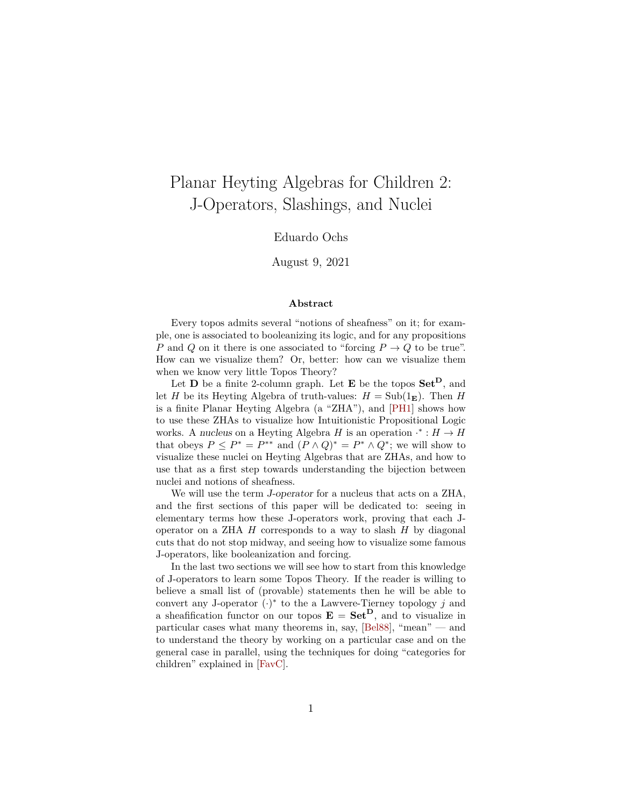# Planar Heyting Algebras for Children 2: J-Operators, Slashings, and Nuclei

### Eduardo Ochs

August 9, 2021

#### **Abstract**

Every topos admits several "notions of sheafness" on it; for example, one is associated to booleanizing its logic, and for any propositions P and Q on it there is one associated to "forcing  $P \to Q$  to be true". How can we visualize them? Or, better: how can we visualize them when we know very little Topos Theory?

Let **D** be a finite 2-column graph. Let **E** be the topos  $Set^D$ , and let H be its Heyting Algebra of truth-values:  $H = Sub(1<sub>E</sub>)$ . Then H is a finite Planar Heyting Algebra (a "ZHA"), and [\[PH1\]](#page-31-0) shows how to use these ZHAs to visualize how Intuitionistic Propositional Logic works. A nucleus on a Heyting Algebra H is an operation  $\cdot^* : H \to H$ that obeys  $P \le P^* = P^{**}$  and  $(P \wedge Q)^* = P^* \wedge Q^*$ ; we will show to visualize these nuclei on Heyting Algebras that are ZHAs, and how to use that as a first step towards understanding the bijection between nuclei and notions of sheafness.

We will use the term J-operator for a nucleus that acts on a ZHA, and the first sections of this paper will be dedicated to: seeing in elementary terms how these J-operators work, proving that each Joperator on a ZHA  $H$  corresponds to a way to slash  $H$  by diagonal cuts that do not stop midway, and seeing how to visualize some famous J-operators, like booleanization and forcing.

In the last two sections we will see how to start from this knowledge of J-operators to learn some Topos Theory. If the reader is willing to believe a small list of (provable) statements then he will be able to convert any J-operator  $(·)^*$  to the a Lawvere-Tierney topology j and a sheafification functor on our topos  $E = Set^D$ , and to visualize in particular cases what many theorems in, say, [\[Bel88\]](#page-31-1), "mean" — and to understand the theory by working on a particular case and on the general case in parallel, using the techniques for doing "categories for children" explained in [\[FavC\]](#page-31-2).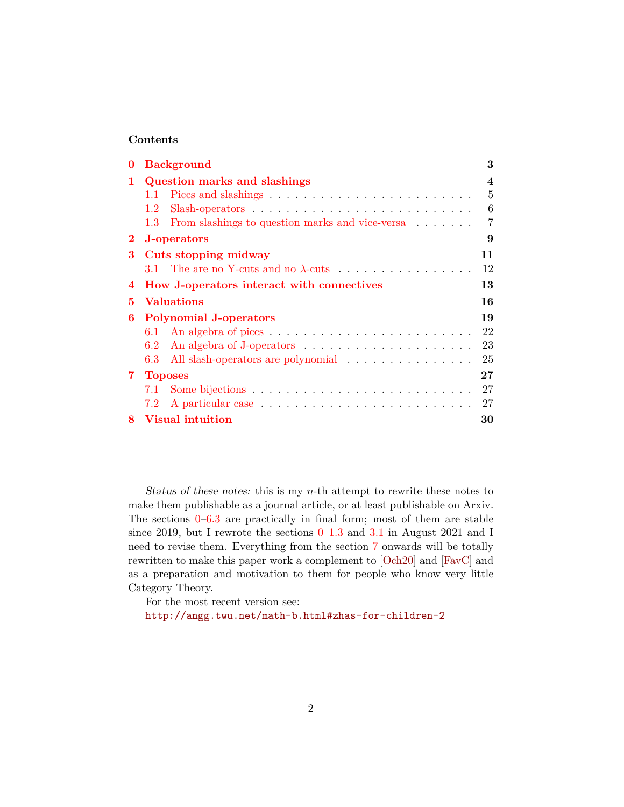### **Contents**

| 0        | <b>Background</b><br>3                                           |    |  |  |  |  |
|----------|------------------------------------------------------------------|----|--|--|--|--|
| 1        | <b>Question marks and slashings</b>                              |    |  |  |  |  |
|          | 1.1                                                              | 5  |  |  |  |  |
|          | 1.2                                                              | 6  |  |  |  |  |
|          | From slashings to question marks and vice-versa<br>$1.3^{\circ}$ |    |  |  |  |  |
| $\bf{2}$ | J-operators<br>9                                                 |    |  |  |  |  |
| 3        | Cuts stopping midway                                             |    |  |  |  |  |
|          |                                                                  | 12 |  |  |  |  |
| 4        | How J-operators interact with connectives<br>13                  |    |  |  |  |  |
| 5.       | <b>Valuations</b>                                                |    |  |  |  |  |
| 6        | <b>Polynomial J-operators</b>                                    |    |  |  |  |  |
|          | 6.1                                                              |    |  |  |  |  |
|          | 6.2                                                              | 23 |  |  |  |  |
|          | All slash-operators are polynomial<br>6.3                        | 25 |  |  |  |  |
| $7 -$    | $\bf 27$<br><b>Toposes</b>                                       |    |  |  |  |  |
|          | 7.1                                                              | 27 |  |  |  |  |
|          | $7.2^{\circ}$                                                    | 27 |  |  |  |  |
| 8.       | <b>Visual intuition</b><br>30                                    |    |  |  |  |  |

Status of these notes: this is my  $n$ -th attempt to rewrite these notes to make them publishable as a journal article, or at least publishable on Arxiv. The sections  $0-6.3$  $0-6.3$  are practically in final form; most of them are stable since 2[0](#page-2-0)19, but I rewrote the sections  $0-1.3$  and  $3.1$  in August 2021 and I need to revise them. Everything from the section [7](#page-26-0) onwards will be totally rewritten to make this paper work a complement to [\[Och20\]](#page-31-3) and [\[FavC\]](#page-31-2) and as a preparation and motivation to them for people who know very little Category Theory.

For the most recent version see: <http://angg.twu.net/math-b.html#zhas-for-children-2>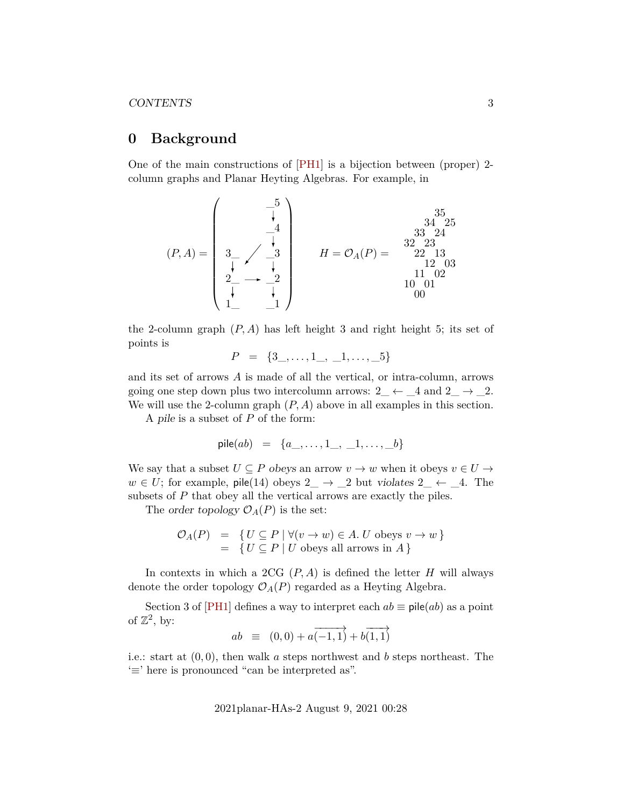# <span id="page-2-0"></span>**0 Background**

One of the main constructions of [\[PH1\]](#page-31-0) is a bijection between (proper) 2 column graphs and Planar Heyting Algebras. For example, in

$$
(P, A) = \begin{pmatrix} -5 \\ \frac{1}{4} \\ 3 \\ \frac{3}{4} \\ 2 \\ \frac{1}{4} \\ 1 \end{pmatrix} \qquad H = \mathcal{O}_A(P) = \begin{pmatrix} 35 \\ 34 & 25 \\ 33 & 24 \\ 22 & 13 \\ 12 & 03 \\ 11 & 02 \\ 10 & 01 \\ 00 \end{pmatrix}
$$

the 2-column graph  $(P, A)$  has left height 3 and right height 5; its set of points is

$$
P = \{3\_ , \ldots , 1\_ , \_1, \ldots , \_5\}
$$

and its set of arrows A is made of all the vertical, or intra-column, arrows going one step down plus two intercolumn arrows:  $2 \leftarrow 4$  and  $2 \rightarrow 2$ . We will use the 2-column graph  $(P, A)$  above in all examples in this section.

A pile is a subset of  $P$  of the form:

$$
\mathsf{pile}(ab) = \{a\_,\ldots,1\_,\_,1,\ldots,\_,b\}
$$

We say that a subset  $U \subseteq P$  obeys an arrow  $v \to w$  when it obeys  $v \in U \to$  $w \in U$ ; for example, pile(14) obeys  $2 \rightarrow 2$  but violates  $2 \leftarrow 4$ . The subsets of P that obey all the vertical arrows are exactly the piles.

The order topology  $\mathcal{O}_A(P)$  is the set:

$$
\mathcal{O}_A(P) = \{ U \subseteq P \mid \forall (v \to w) \in A. \ U \text{ obeys } v \to w \}
$$
  
= 
$$
\{ U \subseteq P \mid U \text{ obeys all arrows in } A \}
$$

In contexts in which a 2CG  $(P, A)$  is defined the letter H will always denote the order topology  $\mathcal{O}_A(P)$  regarded as a Heyting Algebra.

Section 3 of [\[PH1\]](#page-31-0) defines a way to interpret each  $ab \equiv \text{pile}(ab)$  as a point of  $\mathbb{Z}^2$ , by:

$$
ab \equiv (0,0) + a\overrightarrow{(-1,1)} + b\overrightarrow{(1,1)}
$$

i.e.: start at  $(0, 0)$ , then walk a steps northwest and b steps northeast. The '≡' here is pronounced "can be interpreted as".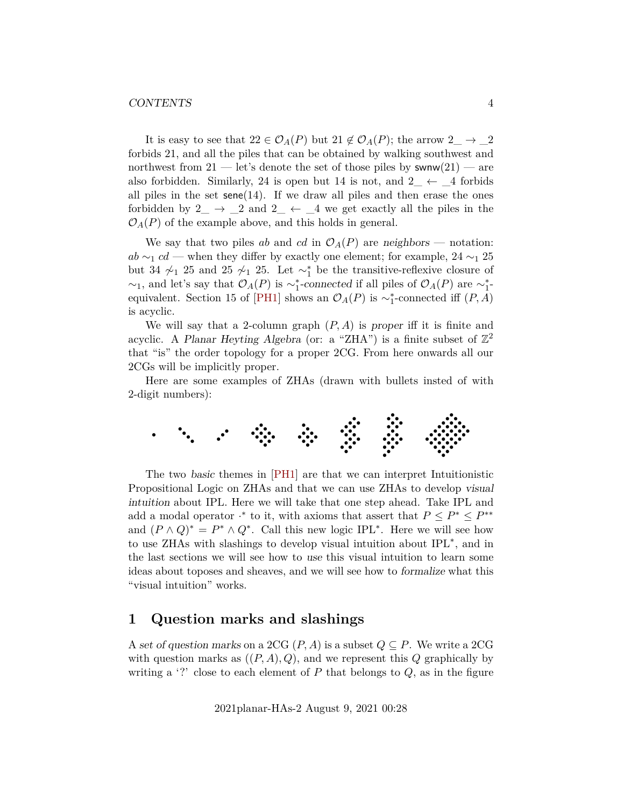#### CONTENTS 4

It is easy to see that  $22 \in \mathcal{O}_A(P)$  but  $21 \notin \mathcal{O}_A(P)$ ; the arrow  $2 \rightarrow 2$ forbids 21, and all the piles that can be obtained by walking southwest and northwest from  $21$  — let's denote the set of those piles by swnw $(21)$  — are also forbidden. Similarly, 24 is open but 14 is not, and  $2 \leftarrow 4$  forbids all piles in the set  $\mathsf{sene}(14)$ . If we draw all piles and then erase the ones forbidden by  $2 \rightarrow 2$  and  $2 \leftarrow 4$  we get exactly all the piles in the  $\mathcal{O}_A(P)$  of the example above, and this holds in general.

We say that two piles ab and cd in  $\mathcal{O}_A(P)$  are neighbors — notation:  $ab \sim_1 cd$  — when they differ by exactly one element; for example, 24  $\sim_1 25$ but 34  $\chi$ <sup>1</sup> 25 and 25  $\chi$ <sup>1</sup> 25. Let  $\sim$ <sup>\*</sup><sub>1</sub> be the transitive-reflexive closure of  $\sim_1$ , and let's say that  $\mathcal{O}_A(P)$  is  $\sim_1^*$ -connected if all piles of  $\mathcal{O}_A(P)$  are  $\sim_1^*$ -equivalent. Section 15 of [\[PH1\]](#page-31-0) shows an  $\mathcal{O}_A(P)$  is ~<sub>1</sub>-connected iff  $(P, A)$ is acyclic.

We will say that a 2-column graph  $(P, A)$  is proper iff it is finite and acyclic. A Planar Heyting Algebra (or: a "ZHA") is a finite subset of  $\mathbb{Z}^2$ that "is" the order topology for a proper 2CG. From here onwards all our 2CGs will be implicitly proper.

Here are some examples of ZHAs (drawn with bullets insted of with 2-digit numbers):



The two basic themes in [\[PH1\]](#page-31-0) are that we can interpret Intuitionistic Propositional Logic on ZHAs and that we can use ZHAs to develop visual intuition about IPL. Here we will take that one step ahead. Take IPL and add a modal operator  $\cdot^*$  to it, with axioms that assert that  $P \leq P^* \leq P^{**}$ and  $(P \wedge Q)^* = P^* \wedge Q^*$ . Call this new logic IPL<sup>\*</sup>. Here we will see how to use ZHAs with slashings to develop visual intuition about IPL<sup>∗</sup> , and in the last sections we will see how to use this visual intuition to learn some ideas about toposes and sheaves, and we will see how to formalize what this "visual intuition" works.

# <span id="page-3-0"></span>**1 Question marks and slashings**

A set of question marks on a 2CG  $(P, A)$  is a subset  $Q \subseteq P$ . We write a 2CG with question marks as  $((P, A), Q)$ , and we represent this Q graphically by writing a '?' close to each element of  $P$  that belongs to  $Q$ , as in the figure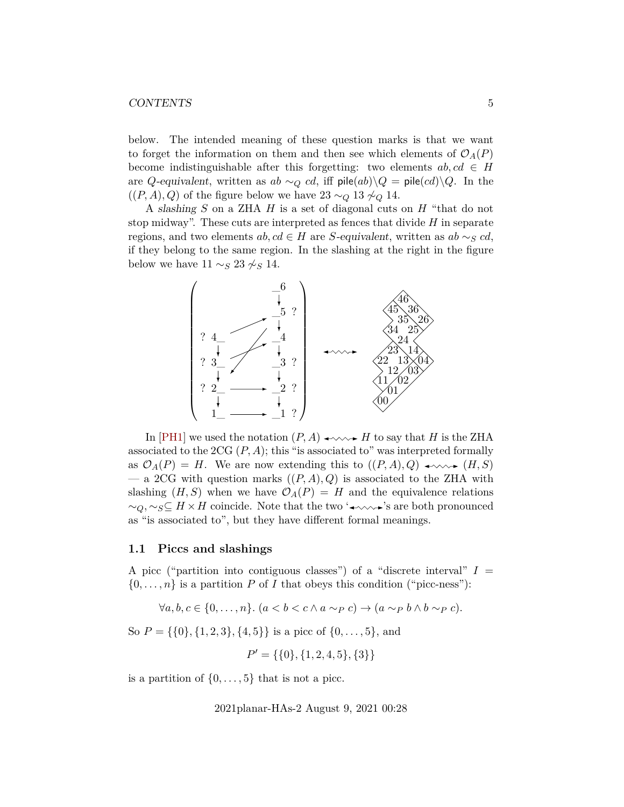#### CONTENTS 5

below. The intended meaning of these question marks is that we want to forget the information on them and then see which elements of  $\mathcal{O}_A(P)$ become indistinguishable after this forgetting: two elements  $ab, cd \in H$ are Q-equivalent, written as ab  $\sim_Q cd$ , iff pile $(ab)\backslash Q =$  pile $(cd)\backslash Q$ . In the  $((P, A), Q)$  of the figure below we have 23 ∼ $_Q$  13  $\sim_Q 14$ .

A slashing S on a ZHA H is a set of diagonal cuts on H "that do not stop midway". These cuts are interpreted as fences that divide  $H$  in separate regions, and two elements ab,  $cd \in H$  are S-equivalent, written as ab  $\sim_S cd$ , if they belong to the same region. In the slashing at the right in the figure below we have  $11 \sim_S 23 \not\sim_S 14$ .



In [\[PH1\]](#page-31-0) we used the notation  $(P, A) \longrightarrow W \longrightarrow H$  to say that H is the ZHA associated to the 2CG  $(P, A)$ ; this "is associated to" was interpreted formally as  $\mathcal{O}_A(P) = H$ . We are now extending this to  $((P, A), Q) \longrightarrow \longrightarrow (H, S)$ — a 2CG with question marks  $((P, A), Q)$  is associated to the ZHA with slashing  $(H, S)$  when we have  $\mathcal{O}_A(P) = H$  and the equivalence relations  $\sim_Q, \sim_S \subseteq H \times H$  coincide. Note that the two ' $\rightarrow \sim \rightarrow$ 's are both pronounced as "is associated to", but they have different formal meanings.

### <span id="page-4-0"></span>**1.1 Piccs and slashings**

A picc ("partition into contiguous classes") of a "discrete interval"  $I =$  $\{0,\ldots,n\}$  is a partition P of I that obeys this condition ("picc-ness"):

 $\forall a, b, c \in \{0, \ldots, n\}$ .  $(a < b < c \land a \sim_P c) \rightarrow (a \sim_P b \land b \sim_P c)$ .

So  $P = \{\{0\}, \{1, 2, 3\}, \{4, 5\}\}\$ is a picc of  $\{0, \ldots, 5\}$ , and

$$
P' = \{\{0\}, \{1, 2, 4, 5\}, \{3\}\}\
$$

is a partition of  $\{0, \ldots, 5\}$  that is not a picc.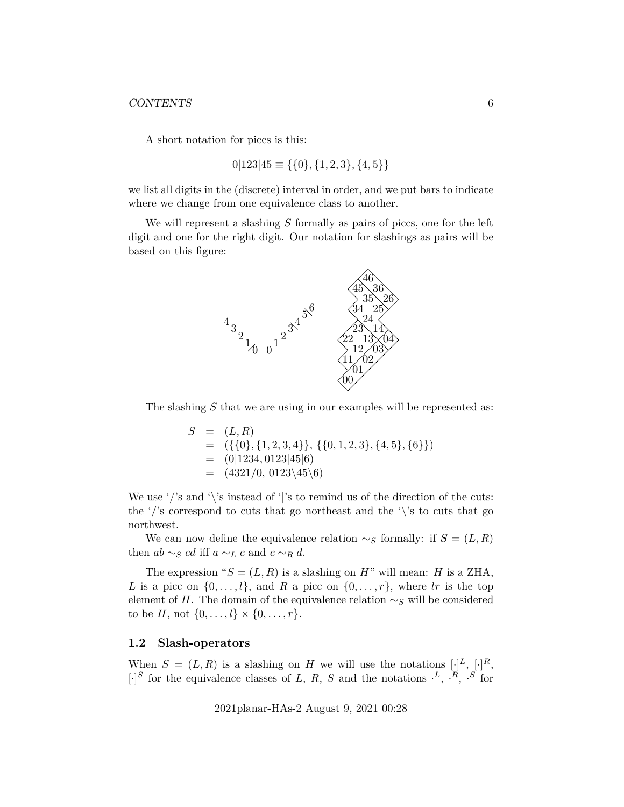A short notation for piccs is this:

 $0|123|45 \equiv \{\{0\},\{1,2,3\},\{4,5\}\}\$ 

we list all digits in the (discrete) interval in order, and we put bars to indicate where we change from one equivalence class to another.

We will represent a slashing  $S$  formally as pairs of piccs, one for the left digit and one for the right digit. Our notation for slashings as pairs will be based on this figure:



The slashing  $S$  that we are using in our examples will be represented as:

$$
S = (L, R)
$$
  
= ({{0}, {1, 2, 3, 4}}, { {0, 1, 2, 3}, {4, 5}, {6}})  
= (0|1234, 0123|45|6)  
= (4321/0, 0123\langle45\rangle6)

We use '/'s and '\'s instead of '|'s to remind us of the direction of the cuts: the '/'s correspond to cuts that go northeast and the '\'s to cuts that go northwest.

We can now define the equivalence relation  $\sim_S$  formally: if  $S = (L, R)$ then  $ab \sim_S cd$  iff  $a \sim_L c$  and  $c \sim_R d$ .

The expression " $S = (L, R)$  is a slashing on H" will mean: H is a ZHA, L is a picc on  $\{0, \ldots, l\}$ , and R a picc on  $\{0, \ldots, r\}$ , where lr is the top element of H. The domain of the equivalence relation  $\sim_S$  will be considered to be  $H$ , not  $\{0, \ldots, l\} \times \{0, \ldots, r\}.$ 

#### <span id="page-5-0"></span>**1.2 Slash-operators**

When  $S = (L, R)$  is a slashing on H we will use the notations  $[\cdot]^L$ ,  $[\cdot]^R$ ,  $\lbrack \cdot \rbrack^S$  for the equivalence classes of L, R, S and the notations  $\cdot^L$ ,  $\cdot^R$ ,  $\cdot^S$  for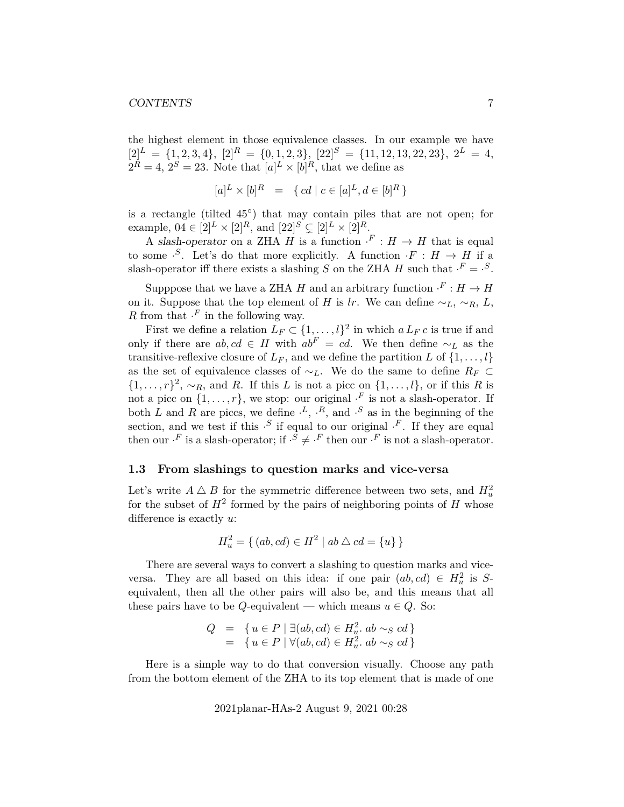the highest element in those equivalence classes. In our example we have  $[2]^L = \{1, 2, 3, 4\}, [2]^R = \{0, 1, 2, 3\}, [22]^S = \{11, 12, 13, 22, 23\}, 2^L = 4,$  $2^R = 4$ ,  $2^S = 23$ . Note that  $[a]^L \times [b]^R$ , that we define as

$$
[a]^L \times [b]^R = \{ cd \mid c \in [a]^L, d \in [b]^R \}
$$

is a rectangle (tilted 45◦ ) that may contain piles that are not open; for example,  $0.4 \in [2]^L \times [2]^R$ , and  $[22]^S \subsetneq [2]^L \times [2]^R$ .

A slash-operator on a ZHA H is a function  $\cdot^F : H \to H$  that is equal to some  $\cdot S$ . Let's do that more explicitly. A function  $\cdot F : H \to H$  if a slash-operator iff there exists a slashing S on the ZHA H such that  $\cdot^F = \cdot^S$ .

Supppose that we have a ZHA H and an arbitrary function  $\cdot^F : H \to H$ on it. Suppose that the top element of H is lr. We can define  $\sim_L$ ,  $\sim_R$ , L, R from that  $\cdot^F$  in the following way.

First we define a relation  $L_F \subset \{1, \ldots, l\}^2$  in which  $a L_F c$  is true if and only if there are  $ab, cd \in H$  with  $ab<sup>F</sup> = cd$ . We then define ∼<sub>L</sub> as the transitive-reflexive closure of  $L_F$ , and we define the partition L of  $\{1, \ldots, l\}$ as the set of equivalence classes of  $\sim_L$ . We do the same to define  $R_F \subset$  $\{1,\ldots,r\}^2$ ,  $\sim_R$ , and R. If this L is not a picc on  $\{1,\ldots,l\}$ , or if this R is not a picc on  $\{1, \ldots, r\}$ , we stop: our original  $\cdot^F$  is not a slash-operator. If both L and R are piccs, we define  $\cdot^L$ ,  $\cdot^R$ , and  $\cdot^S$  as in the beginning of the section, and we test if this  $\cdot^{S}$  if equal to our original  $\cdot^{F}$ . If they are equal then our  $\cdot^F$  is a slash-operator; if  $\cdot^S \neq \cdot^F$  then our  $\cdot^F$  is not a slash-operator.

#### <span id="page-6-0"></span>**1.3 From slashings to question marks and vice-versa**

Let's write  $A \bigtriangleup B$  for the symmetric difference between two sets, and  $H_u^2$ for the subset of  $H^2$  formed by the pairs of neighboring points of H whose difference is exactly u:

$$
H_u^2 = \{ (ab, cd) \in H^2 \mid ab \bigtriangleup cd = \{u\} \}
$$

There are several ways to convert a slashing to question marks and viceversa. They are all based on this idea: if one pair  $(ab, cd) \in H_u^2$  is Sequivalent, then all the other pairs will also be, and this means that all these pairs have to be Q-equivalent — which means  $u \in Q$ . So:

$$
Q = \{ u \in P \mid \exists (ab, cd) \in H_u^2 \ldots ab \sim_S cd \}
$$
  
= 
$$
\{ u \in P \mid \forall (ab, cd) \in H_u^2 \ldots ab \sim_S cd \}
$$

Here is a simple way to do that conversion visually. Choose any path from the bottom element of the ZHA to its top element that is made of one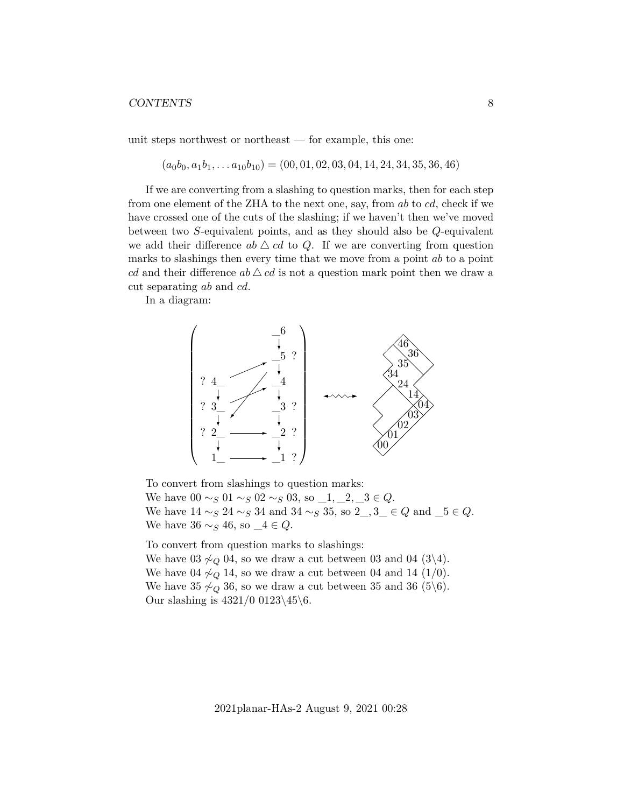unit steps northwest or northeast — for example, this one:

$$
(a_0b_0, a_1b_1, \ldots a_{10}b_{10}) = (00, 01, 02, 03, 04, 14, 24, 34, 35, 36, 46)
$$

If we are converting from a slashing to question marks, then for each step from one element of the ZHA to the next one, say, from ab to cd, check if we have crossed one of the cuts of the slashing; if we haven't then we've moved between two S-equivalent points, and as they should also be Q-equivalent we add their difference  $ab \triangle cd$  to Q. If we are converting from question marks to slashings then every time that we move from a point  $ab$  to a point cd and their difference  $ab \triangle cd$  is not a question mark point then we draw a cut separating ab and cd.

In a diagram:



To convert from slashings to question marks: We have  $00 \sim_S 01 \sim_S 02 \sim_S 03$ , so  $-1, -2, -3 \in Q$ . We have  $14 \sim_S 24 \sim_S 34$  and  $34 \sim_S 35$ , so  $2, 3 \in Q$  and  $5 \in Q$ . We have  $36 \sim_S 46$ , so  $4 \in Q$ .

To convert from question marks to slashings: We have 03  $\sim_Q$  04, so we draw a cut between 03 and 04 (3\4). We have 04  $\sim_Q 14$ , so we draw a cut between 04 and 14 (1/0). We have 35  $\measuredangle_Q$  36, so we draw a cut between 35 and 36 (5\6). Our slashing is  $4321/0$  0123\45\6.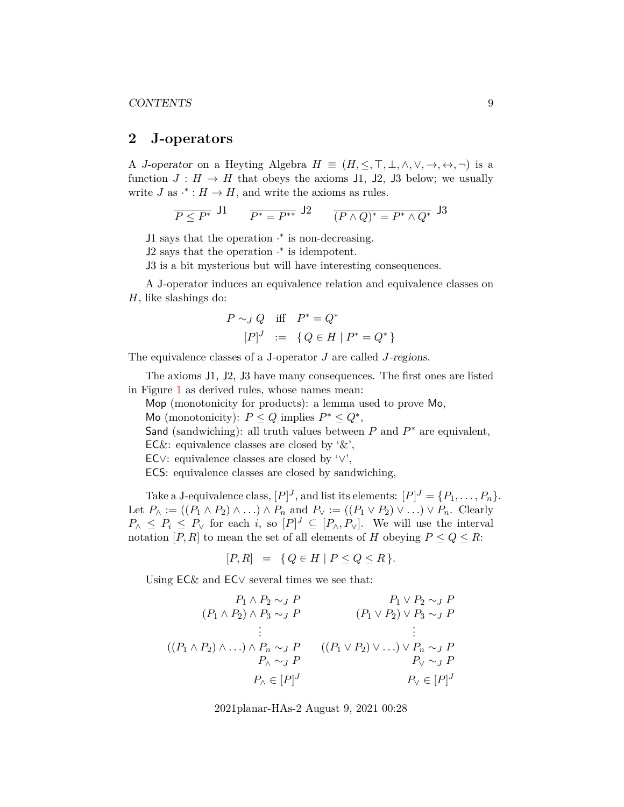### <span id="page-8-0"></span>**2 J-operators**

A J-operator on a Heyting Algebra  $H \equiv (H, \leq, \top, \bot, \wedge, \vee, \rightarrow, \leftrightarrow, \neg)$  is a function  $J : H \to H$  that obeys the axioms 11, 12, 13 below; we usually write  $J$  as  $\cdot^* : H \to H$ , and write the axioms as rules.

$$
\overline{P \le P^*} \ \, \text{J1} \qquad \overline{P^* = P^{**}} \ \, \text{J2} \qquad \overline{(P \wedge Q)^* = P^* \wedge Q^*} \ \, \text{J3}
$$

J1 says that the operation  $\cdot^*$  is non-decreasing.

 $J2$  says that the operation  $\cdot^*$  is idempotent.

J3 is a bit mysterious but will have interesting consequences.

A J-operator induces an equivalence relation and equivalence classes on  $H$ , like slashings do:

$$
P \sim_J Q \quad \text{iff} \quad P^* = Q^* \\
 [P]^J \ := \ \{ Q \in H \mid P^* = Q^* \}
$$

The equivalence classes of a J-operator J are called J-regions.

The axioms J1, J2, J3 have many consequences. The first ones are listed in Figure [1](#page-9-0) as derived rules, whose names mean:

Mop (monotonicity for products): a lemma used to prove Mo,

Mo (monotonicity):  $P \leq Q$  implies  $P^* \leq Q^*$ ,

Sand (sandwiching): all truth values between  $P$  and  $P^*$  are equivalent,

 $\mathsf{EC}\&$ : equivalence classes are closed by ' $\&$ ',

EC∨: equivalence classes are closed by '∨',

ECS: equivalence classes are closed by sandwiching,

Take a J-equivalence class,  $[P]^J$ , and list its elements:  $[P]^J = \{P_1, \ldots, P_n\}.$ Let  $P_{\wedge} := ((P_1 \wedge P_2) \wedge ...) \wedge P_n$  and  $P_{\vee} := ((P_1 \vee P_2) \vee ...) \vee P_n$ . Clearly  $P_{\wedge} \leq P_i \leq P_{\vee}$  for each i, so  $[P]^J \subseteq [P_{\wedge}, P_{\vee}]$ . We will use the interval notation  $[P, R]$  to mean the set of all elements of H obeying  $P \le Q \le R$ :

$$
[P,R] = \{ Q \in H \mid P \le Q \le R \}.
$$

Using EC& and EC∨ several times we see that:

$$
(P_1 \wedge P_2 \sim_J P \qquad P_1 \vee P_2 \sim_J P
$$
  
\n
$$
(P_1 \wedge P_2) \wedge P_3 \sim_J P \qquad (P_1 \vee P_2) \vee P_3 \sim_J P
$$
  
\n
$$
\vdots \qquad \vdots
$$
  
\n
$$
((P_1 \wedge P_2) \wedge \ldots) \wedge P_n \sim_J P \qquad ((P_1 \vee P_2) \vee \ldots) \vee P_n \sim_J P
$$
  
\n
$$
P_{\wedge} \sim_J P \qquad P_{\vee} \sim_J P
$$
  
\n
$$
P_{\wedge} \in [P]^J \qquad P_{\vee} \in [P]^J
$$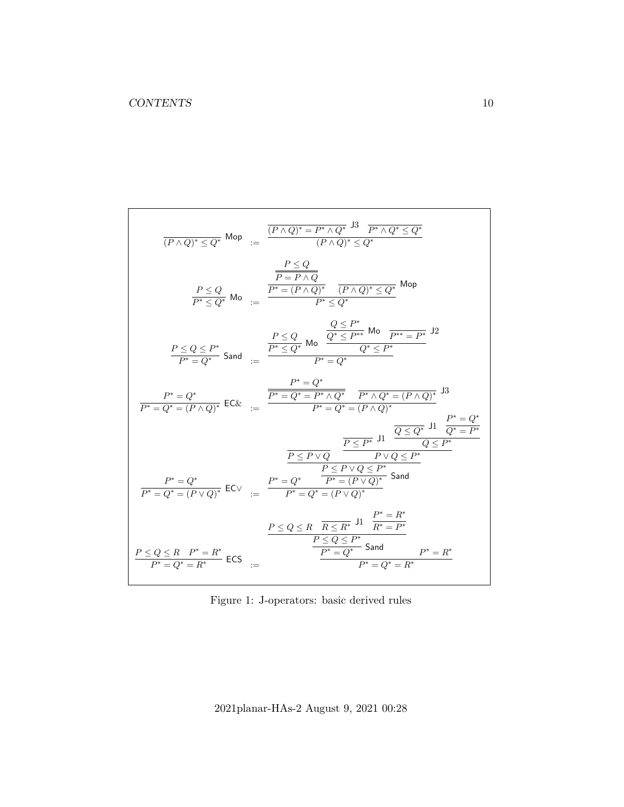$$
\frac{P \leq Q}{(P \wedge Q)^* \leq Q^*} \text{ Mop} \quad := \quad \frac{\frac{P \leq Q}{(P \wedge Q)^* = P^* \wedge Q^*} \frac{13}{P^* \wedge Q^* \leq Q^*}}{(P \wedge Q)^* \leq Q^*}
$$
\n
$$
\frac{P \leq Q}{P^* \leq Q^*} \text{ Mo} \quad := \quad \frac{\frac{P \leq Q}{P^* = (P \wedge Q)^*} \frac{P \leq Q^*}{(P \wedge Q)^* \leq Q^*}}{(P \wedge Q)^* \leq Q^*} \text{ Mop}
$$
\n
$$
\frac{P \leq Q \leq P^*}{P^* \leq Q^*} \text{ Sand} \quad := \quad \frac{\frac{P \leq Q}{P^* \leq Q^*} \text{ Mo} \frac{Q \leq P^*}{Q^* \leq P^*} \text{ Mo} \frac{P^* = P^*}{P^* \leq P^*}}{P^* = Q^*}
$$
\n
$$
\frac{P^* = Q^*}{P^* = Q^*} \text{ Sand} \quad := \quad \frac{\frac{P^* = Q}{P^* \leq Q^*} \text{ Mo} \frac{Q \leq P^*}{Q^* \leq P^*}}{P^* = Q^*} \text{ Mo}
$$
\n
$$
\frac{P^* = Q^*}{P^* = Q^*} \text{ Sand} \quad \frac{P^* = Q^*}{P^* = Q^* = (P \wedge Q)^*} \text{ J} \quad \frac{P^* = Q^*}{Q^* = P^*}
$$
\n
$$
\frac{P \leq P \vee Q}{P^* = Q^*} \text{ J} \quad \frac{\overline{Q \leq Q^*} \text{ J} \mathbf{1}}{Q^* = P^*}
$$
\n
$$
\frac{P^* = Q^*}{P^* = Q^* = (P \vee Q)^*} \text{ Sand}
$$
\n
$$
\frac{P^* = Q^*}{P^* = Q^*} \text{ Sand}
$$
\n
$$
\frac{P^* = Q^*}{P^* = Q^*} \text{ Sand}
$$
\n
$$
\frac{P \leq Q \leq R \quad R \leq R^*} \text{ J} \quad \frac{P^* = R^*}{R^* = P
$$

<span id="page-9-0"></span>Figure 1: J-operators: basic derived rules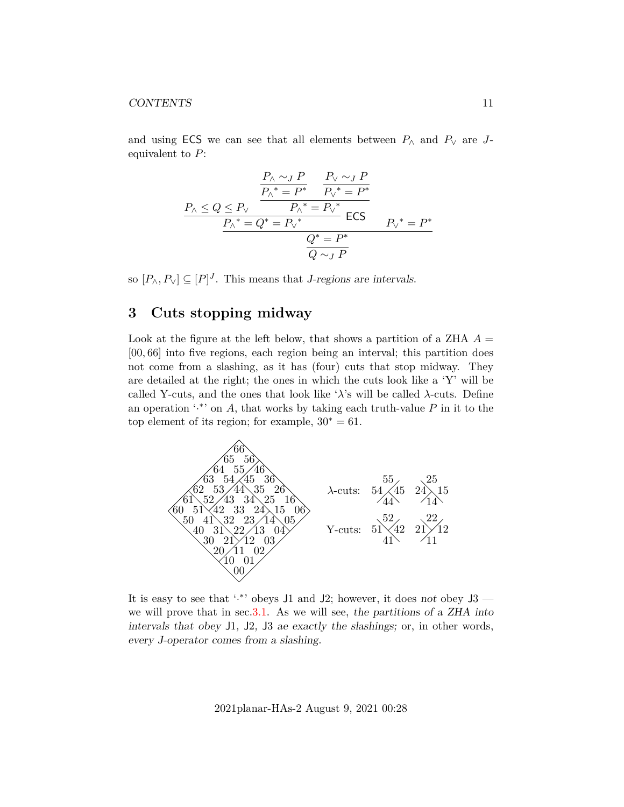and using ECS we can see that all elements between  $P_{\wedge}$  and  $P_{\vee}$  are Jequivalent to  $P$ :

$$
\frac{P_{\land} \sim_{J} P}{P_{\land}^* = P^*} \frac{P_{\lor} \sim_{J} P}{P_{\lor}^* = P^*}
$$
\n
$$
\frac{P_{\land} \le Q \le P_{\lor}}{P_{\land}^* = P_{\lor}^*} \text{ ECS}
$$
\n
$$
\frac{P_{\land}^* = Q^* = P_{\lor}^*}{Q^* = P^*}
$$
\n
$$
\frac{Q^* = P^*}{Q \sim_{J} P}
$$

so  $[P_{\wedge}, P_{\vee}] \subseteq [P]^J$ . This means that *J*-regions are intervals.

# <span id="page-10-0"></span>**3 Cuts stopping midway**

Look at the figure at the left below, that shows a partition of a ZHA  $A =$ [00, 66] into five regions, each region being an interval; this partition does not come from a slashing, as it has (four) cuts that stop midway. They are detailed at the right; the ones in which the cuts look like a 'Y' will be called Y-cuts, and the ones that look like ' $\lambda$ 's will be called  $\lambda$ -cuts. Define an operation  $\cdot^*$  on A, that works by taking each truth-value P in it to the top element of its region; for example,  $30^* = 61$ .



It is easy to see that '.\*' obeys J1 and J2; however, it does not obey  $J3$  we will prove that in sec. 3.1. As we will see, the partitions of a ZHA into intervals that obey J1, J2, J3 ae exactly the slashings; or, in other words, every J-operator comes from a slashing.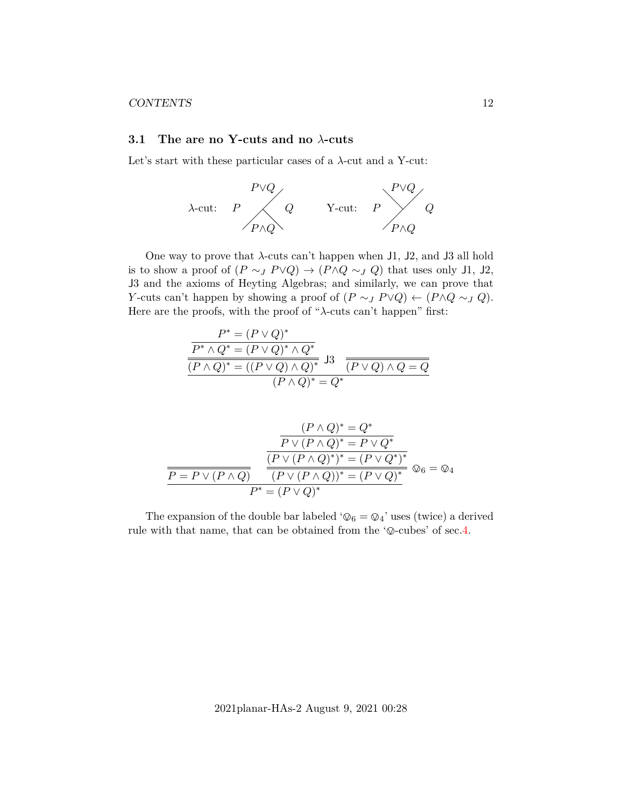### <span id="page-11-0"></span>**3.1 The are no Y-cuts and no** λ**-cuts**

Let's start with these particular cases of a  $\lambda$ -cut and a Y-cut:



One way to prove that  $\lambda$ -cuts can't happen when J1, J2, and J3 all hold is to show a proof of  $(P \sim_J P \lor Q) \rightarrow (P \land Q \sim_J Q)$  that uses only J1, J2, J3 and the axioms of Heyting Algebras; and similarly, we can prove that Y-cuts can't happen by showing a proof of  $(P \sim_J P \lor Q) \leftarrow (P \land Q \sim_J Q)$ . Here are the proofs, with the proof of "λ-cuts can't happen" first:

$$
\frac{P^* = (P \lor Q)^*}{P^* \land Q^* = (P \lor Q)^* \land Q^*}
$$
\n
$$
\frac{\overline{(P \land Q)^* = ((P \lor Q) \land Q)^*}}{(P \land Q)^* = (P \lor Q) \land Q} = \overline{Q}
$$
\n
$$
\frac{\overline{(P \lor Q)^* = Q^*}}{(P \land Q)^* = Q^*}
$$

$$
\frac{(P \wedge Q)^* = Q^*}{P \vee (P \wedge Q)^* = P \vee Q^*}
$$
\n
$$
\frac{\overbrace{P \vee (P \wedge Q)^*}^{P \vee (P \wedge Q)^* = P \vee Q^*}}{\overbrace{P = P \vee (P \wedge Q)}^{P \vee (P \wedge Q)^* = (P \vee Q^*)^*}}^{P \vee (P \wedge Q)^* = P \vee Q^*}
$$
\n
$$
P^* = (P \vee Q)^*
$$

The expansion of the double bar labeled ' $\mathcal{Q}_6 = \mathcal{Q}_4$ ' uses (twice) a derived rule with that name, that can be obtained from the  $\infty$ -cubes' of sec[.4.](#page-12-0)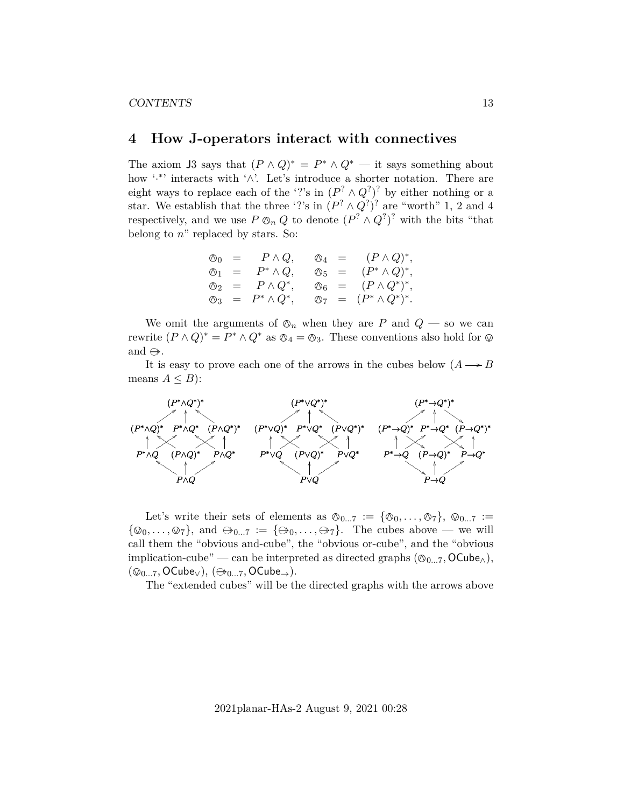# <span id="page-12-0"></span>**4 How J-operators interact with connectives**

The axiom J3 says that  $(P \wedge Q)^* = P^* \wedge Q^*$  — it says something about how '<sup>\*</sup>' interacts with '∧'. Let's introduce a shorter notation. There are eight ways to replace each of the '?'s in  $(P^? \wedge Q^? )^?$  by either nothing or a star. We establish that the three '?'s in  $(P^? \wedge Q^? )^?$  are "worth" 1, 2 and 4 respectively, and we use  $P \otimes_n Q$  to denote  $(P^? \wedge Q^?)^?$  with the bits "that belong to  $n$ " replaced by stars. So, belong to  $n$ " replaced by stars. So:

$$
\begin{array}{rcl}\n\oslash_0 & = & P \wedge Q, \\
\oslash_1 & = & P^* \wedge Q, \\
\oslash_2 & = & P \wedge Q^*, \\
\oslash_3 & = & P^* \wedge Q^*, \\
\oslash_4 & = & (P^* \wedge Q)^*, \\
\oslash_5 & = & (P \wedge Q^*)^*, \\
\oslash_6 & = & (P \wedge Q^*)^*, \\
\oslash_7 & = & (P^* \wedge Q^*)^*.\n\end{array}
$$

We omit the arguments of  $\mathcal{O}_n$  when they are P and  $Q$  — so we can rewrite  $(P \wedge Q)^* = P^* \wedge Q^*$  as  $\otimes_4 = \otimes_3$ . These conventions also hold for  $\otimes$ and  $\leftrightarrow$ .

It is easy to prove each one of the arrows in the cubes below  $(A \rightarrow B)$ means  $A \leq B$ :



Let's write their sets of elements as  $\mathcal{O}_{0...7} := {\mathcal{O}_0, \ldots, \mathcal{O}_7}, \mathcal{O}_{0...7} :=$  $\{\mathcal{Q}_0, \ldots, \mathcal{Q}_7\}$ , and  $\oplus_{0...7} := \{\oplus_0, \ldots, \oplus_7\}$ . The cubes above — we will call them the "obvious and-cube", the "obvious or-cube", and the "obvious implication-cube" — can be interpreted as directed graphs  $(\mathcal{O}_{0...7}, \mathsf{OCube}_{\wedge}),$  $(\mathcal{Q}_{0...7}, \mathsf{OCube}_{\vee}), (\oplus_{0...7}, \mathsf{OCube}_{\rightarrow}).$ 

The "extended cubes" will be the directed graphs with the arrows above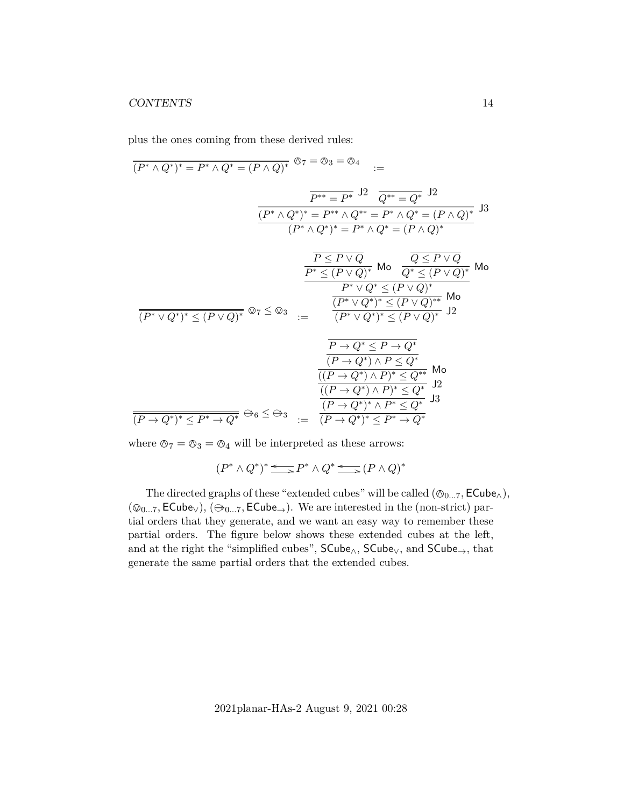plus the ones coming from these derived rules:

$$
\frac{\overline{(P^* \wedge Q^*)^*} = P^* \wedge Q^* = (P \wedge Q)^*}{P^{**} = P^*} \xrightarrow{J2} \frac{Q^{**} = Q^*}{Q^{**}} \xrightarrow{J2}
$$
\n
$$
\frac{\overline{(P^* \wedge Q^*)^*} = P^{**} \wedge Q^{**} = P^* \wedge Q^* = (P \wedge Q)^*}{(P^* \wedge Q^*)^* = P^* \wedge Q^* = (P \wedge Q)^*} \xrightarrow{J3}
$$
\n
$$
\frac{\overline{P \leq P \vee Q}}{P^* \leq (P \vee Q)^*} \text{ Mo } \frac{\overline{Q \leq P \vee Q}}{Q^* \leq (P \vee Q)^*} \text{Mo}
$$
\n
$$
\frac{\overline{P^* \leq (P \vee Q)^*}}{P^* \vee Q^* \leq (P \vee Q)^*} \text{Mo}
$$
\n
$$
\frac{\overline{(P^* \vee Q^*)^*} \leq (P \vee Q)^*}{(P^* \vee Q^*)^* \leq (P \vee Q)^*} \xrightarrow{J2}
$$
\n
$$
\frac{\overline{P \rightarrow Q^*} \leq P \rightarrow Q^*}{(P \rightarrow Q^*) \wedge P \leq Q^*} \text{Mo}
$$
\n
$$
\frac{\overline{(P \rightarrow Q^*) \wedge P \leq Q^*}}{((P \rightarrow Q^*) \wedge P)^* \leq Q^*} \text{Mo}
$$
\n
$$
\frac{\overline{(P \rightarrow Q^*) \wedge P^*} \leq Q^*}{(P \rightarrow Q^*) \wedge P^* \leq Q^*} \text{Jo}
$$
\n
$$
\frac{\overline{(P \rightarrow Q^*) \wedge P^*} \leq Q^*}{(P \rightarrow Q^*) \wedge P^* \leq Q^*} \text{Jo}
$$
\n
$$
\frac{\overline{(P \rightarrow Q^*) \wedge P^*} \leq Q^*}{(P \rightarrow Q^*) \wedge P^* \leq Q^*} \text{Jo}
$$

where  $\mathcal{O}_7 = \mathcal{O}_3 = \mathcal{O}_4$  will be interpreted as these arrows:

 $(P^* \wedge Q^*)^* \leq P^* \wedge Q^* \leq (P \wedge Q)^*$ 

The directed graphs of these "extended cubes" will be called  $(\mathcal{O}_{0...7}, \mathsf{ECube}_{\wedge}),$  $(\mathcal{Q}_{0...7}, \mathsf{ECube}_{\lor}), (\ominus_{0...7}, \mathsf{ECube}_{\rightarrow}).$  We are interested in the (non-strict) partial orders that they generate, and we want an easy way to remember these partial orders. The figure below shows these extended cubes at the left, and at the right the "simplified cubes",  $SCube_{\wedge}$ ,  $SCube_{\vee}$ , and  $SCube_{\rightarrow}$ , that generate the same partial orders that the extended cubes.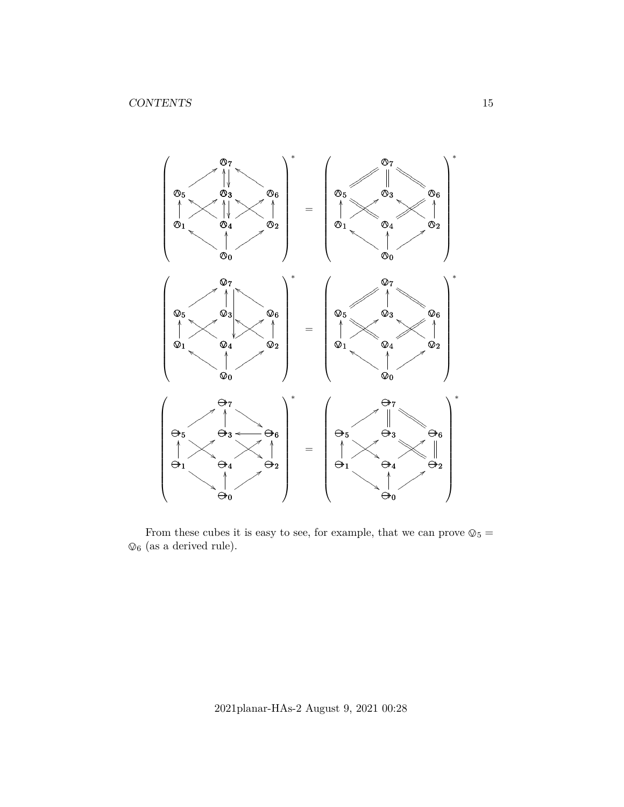

From these cubes it is easy to see, for example, that we can prove  $\mathcal{Q}_5 =$  $\mathcal{Q}_6$  (as a derived rule).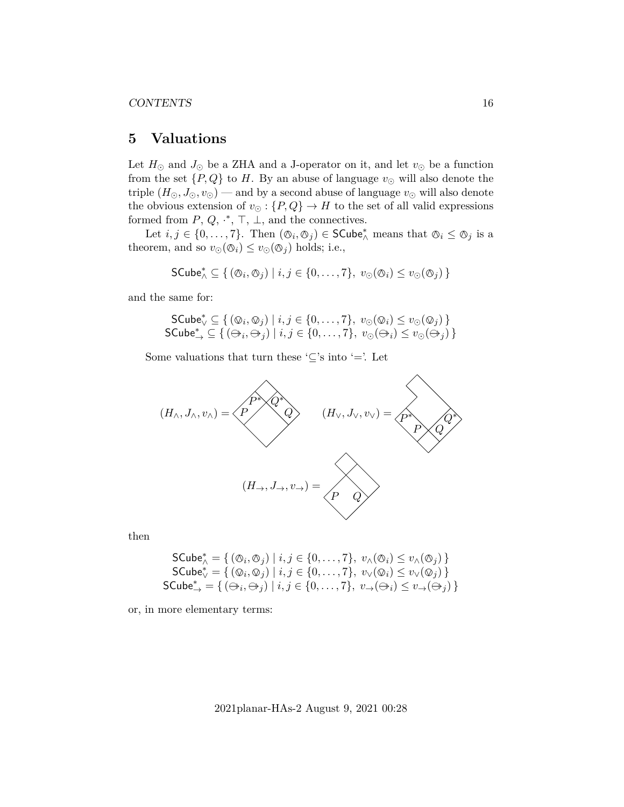# <span id="page-15-0"></span>**5 Valuations**

Let  $H_{\odot}$  and  $J_{\odot}$  be a ZHA and a J-operator on it, and let  $v_{\odot}$  be a function from the set  $\{P,Q\}$  to H. By an abuse of language  $v_{\odot}$  will also denote the triple  $(H_{\odot}, J_{\odot}, v_{\odot})$  — and by a second abuse of language  $v_{\odot}$  will also denote the obvious extension of  $v_{\odot} : \{P, Q\} \to H$  to the set of all valid expressions formed from  $P, Q, \cdot^*, \top, \bot$ , and the connectives.

Let  $i, j \in \{0, ..., 7\}$ . Then  $(\mathcal{O}_i, \mathcal{O}_j) \in \mathsf{SCube}_\wedge^*$  means that  $\mathcal{O}_i \leq \mathcal{O}_j$  is a theorem, and so  $v_{\odot}(\mathcal{O}_i) \leq v_{\odot}(\mathcal{O}_j)$  holds; i.e.,

$$
\mathsf{SCube}_{\wedge}^* \subseteq \{ (\varnothing_i, \varnothing_j) \mid i, j \in \{0, \dots, 7\}, \ v_{\odot}(\varnothing_i) \leq v_{\odot}(\varnothing_j) \}
$$

and the same for:

$$
\mathsf{SCube}_{\vee}^* \subseteq \{ (\mathcal{Q}_i, \mathcal{Q}_j) \mid i, j \in \{0, \dots, 7\}, v_{\odot}(\mathcal{Q}_i) \le v_{\odot}(\mathcal{Q}_j) \}
$$
  
\n
$$
\mathsf{SCube}_{\rightarrow}^* \subseteq \{ (\mathcal{Q}_i, \mathcal{Q}_j) \mid i, j \in \{0, \dots, 7\}, v_{\odot}(\mathcal{Q}_i) \le v_{\odot}(\mathcal{Q}_j) \}
$$

Some valuations that turn these ' $\subseteq$ 's into '='. Let



then

$$
\begin{aligned}\n\mathsf{SCube}_{\wedge}^* &= \{ (\mathcal{O}_i, \mathcal{O}_j) \mid i, j \in \{0, \dots, 7\}, \ v_{\wedge}(\mathcal{O}_i) \le v_{\wedge}(\mathcal{O}_j) \} \\
\mathsf{SCube}_{\vee}^* &= \{ (\mathcal{O}_i, \mathcal{O}_j) \mid i, j \in \{0, \dots, 7\}, \ v_{\vee}(\mathcal{Q}_i) \le v_{\vee}(\mathcal{O}_j) \} \\
\mathsf{SCube}_{\rightarrow}^* &= \{ (\mathcal{O}_i, \mathcal{O}_j) \mid i, j \in \{0, \dots, 7\}, \ v_{\rightarrow}(\mathcal{O}_i) \le v_{\rightarrow}(\mathcal{O}_j) \} \n\end{aligned}
$$

or, in more elementary terms: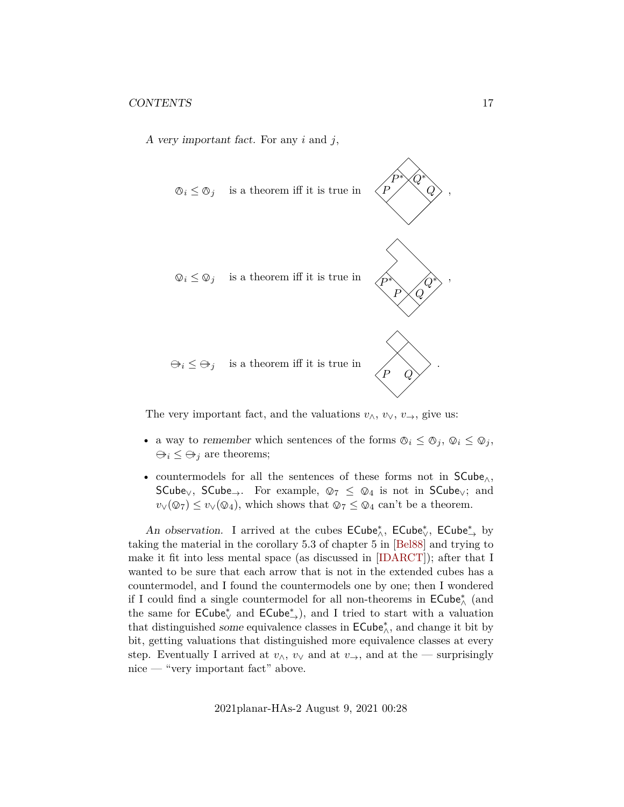A very important fact. For any  $i$  and  $j$ ,



The very important fact, and the valuations  $v_{\wedge}, v_{\vee}, v_{\rightarrow}$ , give us:

- a way to remember which sentences of the forms  $\mathcal{O}_i \leq \mathcal{O}_j$ ,  $\mathcal{O}_i \leq \mathcal{O}_j$ ,  $\Theta_i \leq \Theta_j$  are theorems;
- countermodels for all the sentences of these forms not in SCube∧, SCube<sub>∨</sub>, SCube<sub>→</sub>. For example,  $\mathcal{Q}_7 \leq \mathcal{Q}_4$  is not in SCube<sub>∨</sub>; and  $v_V(\mathcal{Q}_7) \le v_V(\mathcal{Q}_4)$ , which shows that  $\mathcal{Q}_7 \le \mathcal{Q}_4$  can't be a theorem.

An observation. I arrived at the cubes  $\mathsf{ECube}^*_\wedge$ ,  $\mathsf{ECube}^*_\vee$ ,  $\mathsf{ECube}^*_\rightarrow$  by taking the material in the corollary 5.3 of chapter 5 in [\[Bel88\]](#page-31-1) and trying to make it fit into less mental space (as discussed in [\[IDARCT\]](#page-31-4)); after that I wanted to be sure that each arrow that is not in the extended cubes has a countermodel, and I found the countermodels one by one; then I wondered if I could find a single countermodel for all non-theorems in  $\mathsf{ECube}^*_\wedge$  (and the same for  $\mathsf{ECube}_\vee^*$  and  $\mathsf{ECube}_\rightarrow^*$ ), and I tried to start with a valuation that distinguished some equivalence classes in  $\mathsf{ECube}^*_\wedge$ , and change it bit by bit, getting valuations that distinguished more equivalence classes at every step. Eventually I arrived at  $v_0$ ,  $v_0$  and at  $v_+$ , and at the — surprisingly nice — "very important fact" above.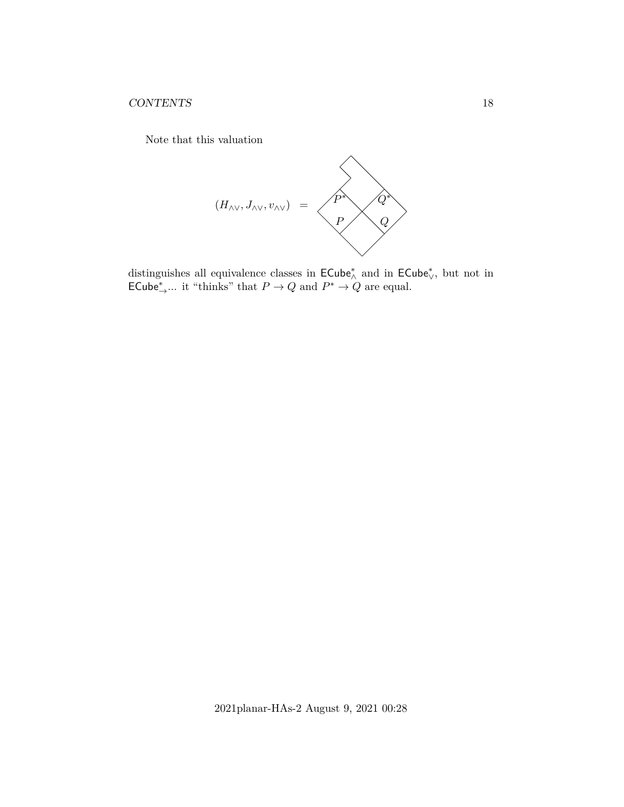Note that this valuation



distinguishes all equivalence classes in  $\mathsf{ECube}^*_\wedge$  and in  $\mathsf{ECube}^*_\vee,$  but not in ECube<sup>\*</sup><sub>→</sub>... it "thinks" that  $P \to Q$  and  $P^* \to Q$  are equal.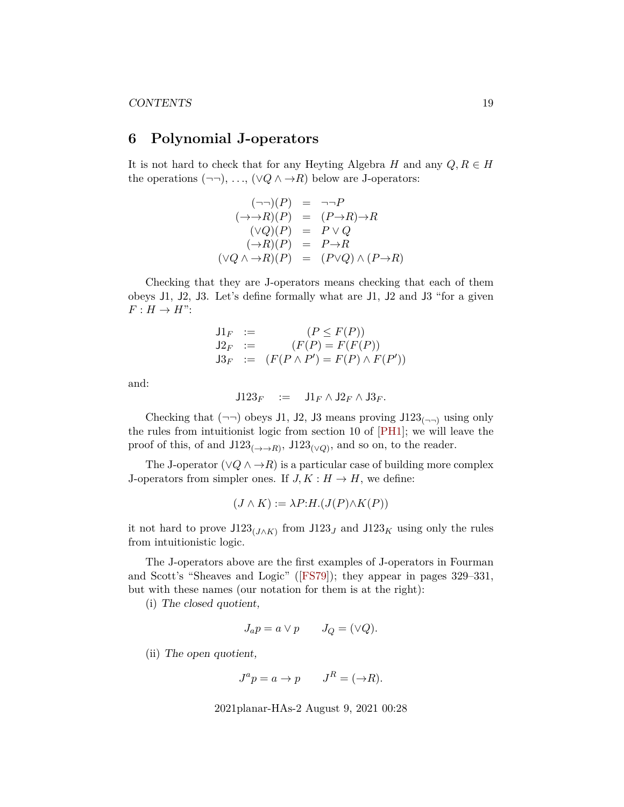# <span id="page-18-0"></span>**6 Polynomial J-operators**

It is not hard to check that for any Heyting Algebra H and any  $Q, R \in H$ the operations  $(\neg\neg), \ldots, (\lor Q \land \rightarrow R)$  below are J-operators:

$$
(\neg\neg)(P) = \neg\neg P
$$
  
\n
$$
(\rightarrow \rightarrow R)(P) = (P \rightarrow R) \rightarrow R
$$
  
\n
$$
(\lor Q)(P) = P \lor Q
$$
  
\n
$$
(\rightarrow R)(P) = P \rightarrow R
$$
  
\n
$$
(\lor Q \land \rightarrow R)(P) = (P \lor Q) \land (P \rightarrow R)
$$

Checking that they are J-operators means checking that each of them obeys J1, J2, J3. Let's define formally what are J1, J2 and J3 "for a given  $F: H \to H$ ":

$$
J1_F := (P \le F(P))
$$
  
\n
$$
J2_F := (F(P) = F(F(P))
$$
  
\n
$$
J3_F := (F(P \land P') = F(P) \land F(P'))
$$

and:

$$
\mathsf{J}123_F \quad := \quad \mathsf{J}1_F \wedge \mathsf{J}2_F \wedge \mathsf{J}3_F.
$$

Checking that  $(\neg\neg)$  obeys J1, J2, J3 means proving J123<sub>( $\neg$ )</sub> using only the rules from intuitionist logic from section 10 of [\[PH1\]](#page-31-0); we will leave the proof of this, of and  $J123_{(\rightarrow)R}$ ,  $J123_{(\vee Q)}$ , and so on, to the reader.

The J-operator ( $\vee Q \wedge \rightarrow R$ ) is a particular case of building more complex J-operators from simpler ones. If  $J, K : H \to H$ , we define:

$$
(J \wedge K) := \lambda P:H.(J(P) \wedge K(P))
$$

it not hard to prove  $J123_{(J\wedge K)}$  from  $J123_J$  and  $J123_K$  using only the rules from intuitionistic logic.

The J-operators above are the first examples of J-operators in Fourman and Scott's "Sheaves and Logic"([\[FS79\]](#page-31-5)); they appear in pages 329–331, but with these names (our notation for them is at the right):

(i) The closed quotient,

$$
J_a p = a \vee p \qquad J_Q = (\vee Q).
$$

(ii) The open quotient,

$$
J^a p = a \to p \qquad J^R = (\to R).
$$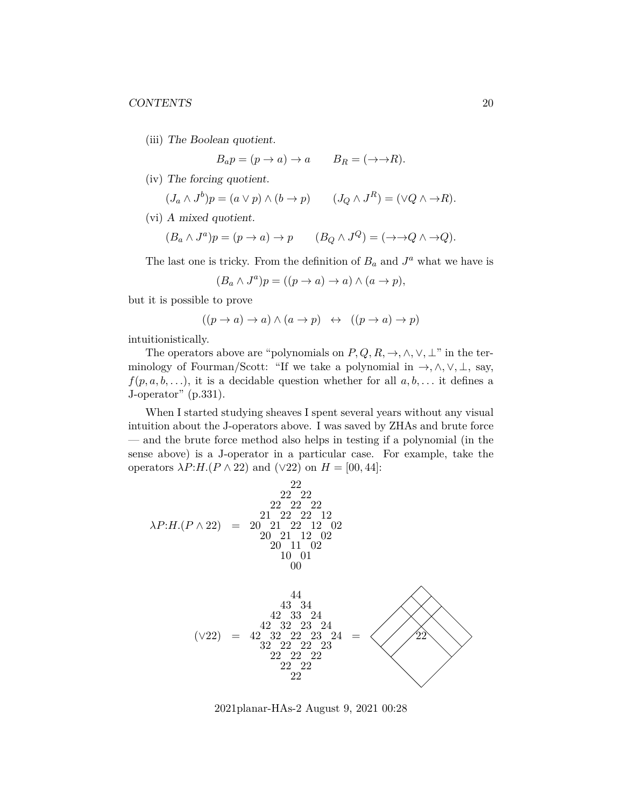(iii) The Boolean quotient.

$$
B_a p = (p \to a) \to a \qquad B_R = (\to \to R).
$$

(iv) The forcing quotient.

$$
(J_a \wedge J^b)p = (a \vee p) \wedge (b \to p) \qquad (J_Q \wedge J^R) = (\vee Q \wedge \to R).
$$

(vi) A mixed quotient.

$$
(B_a \wedge J^a)p = (p \to a) \to p \qquad (B_Q \wedge J^Q) = (\to \to Q \wedge \to Q).
$$

The last one is tricky. From the definition of  $B_a$  and  $J^a$  what we have is

$$
(B_a \wedge J^a)p = ((p \to a) \to a) \wedge (a \to p),
$$

but it is possible to prove

$$
((p \to a) \to a) \land (a \to p) \iff ((p \to a) \to p)
$$

intuitionistically.

The operators above are "polynomials on  $P, Q, R, \rightarrow, \land, \lor, \bot$ " in the terminology of Fourman/Scott: "If we take a polynomial in  $\rightarrow$ ,  $\land$ ,  $\lor$ ,  $\bot$ , say,  $f(p, a, b, \ldots)$ , it is a decidable question whether for all  $a, b, \ldots$  it defines a J-operator" (p.331).

When I started studying sheaves I spent several years without any visual intuition about the J-operators above. I was saved by ZHAs and brute force — and the brute force method also helps in testing if a polynomial (in the sense above) is a J-operator in a particular case. For example, take the operators  $\lambda P:H.(P \wedge 22)$  and  $(\vee 22)$  on  $H = [00, 44]$ :



2021planar-HAs-2 August 9, 2021 00:28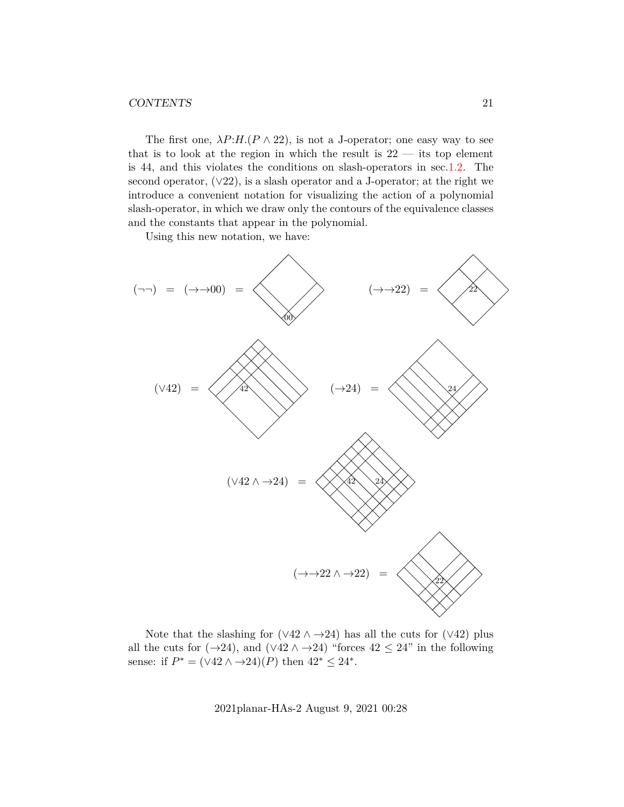### CONTENTS 21

The first one,  $\lambda P:H.(P \wedge 22)$ , is not a J-operator; one easy way to see that is to look at the region in which the result is  $22 -$  its top element is 44, and this violates the conditions on slash-operators in sec[.1.2.](#page-5-0) The second operator,  $(\sqrt{22})$ , is a slash operator and a J-operator; at the right we introduce a convenient notation for visualizing the action of a polynomial slash-operator, in which we draw only the contours of the equivalence classes and the constants that appear in the polynomial.

Using this new notation, we have:



Note that the slashing for  $(\sqrt{42} \wedge \rightarrow 24)$  has all the cuts for  $(\sqrt{42})$  plus all the cuts for  $(\rightarrow 24)$ , and  $(\vee 42 \wedge \rightarrow 24)$  "forces  $42 \leq 24$ " in the following sense: if  $P^* = (\sqrt{42} \wedge \rightarrow 24)(P)$  then  $42^* \leq 24^*$ .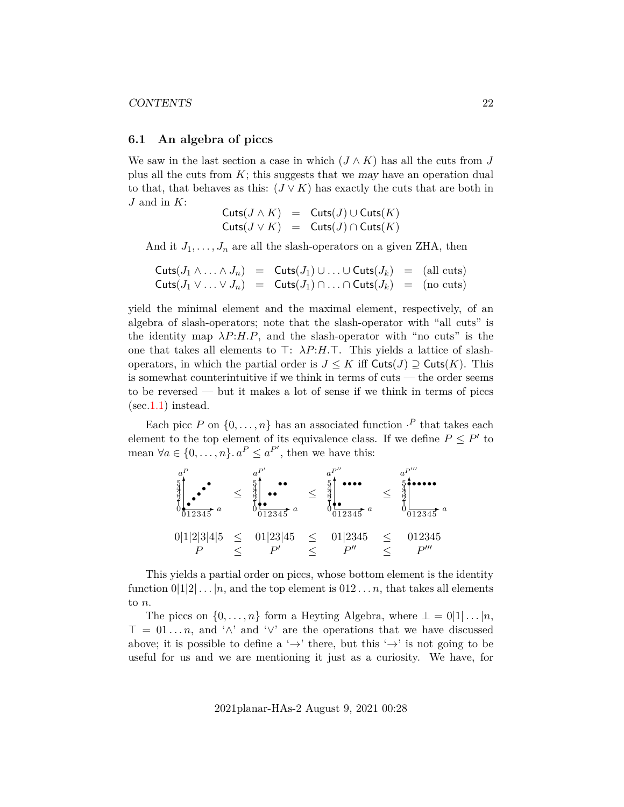#### <span id="page-21-0"></span>**6.1 An algebra of piccs**

We saw in the last section a case in which  $(J \wedge K)$  has all the cuts from J plus all the cuts from  $K$ ; this suggests that we may have an operation dual to that, that behaves as this:  $(J \vee K)$  has exactly the cuts that are both in  $J$  and in  $K$ :

$$
\begin{array}{lcl} {\sf Cuts}(J \wedge K) & = & {\sf Cuts}(J) \cup {\sf Cuts}(K) \\ {\sf Cuts}(J \vee K) & = & {\sf Cuts}(J) \cap {\sf Cuts}(K) \end{array}
$$

And it  $J_1, \ldots, J_n$  are all the slash-operators on a given ZHA, then

$$
\begin{array}{rcl}\n\textsf{Cuts}(J_1 \land \ldots \land J_n) & = & \textsf{Cuts}(J_1) \cup \ldots \cup \textsf{Cuts}(J_k) = (\text{all cuts}) \\
\textsf{Cuts}(J_1 \lor \ldots \lor J_n) & = & \textsf{Cuts}(J_1) \cap \ldots \cap \textsf{Cuts}(J_k) = (\text{no cuts})\n\end{array}
$$

yield the minimal element and the maximal element, respectively, of an algebra of slash-operators; note that the slash-operator with "all cuts" is the identity map  $\lambda P:H.P$ , and the slash-operator with "no cuts" is the one that takes all elements to  $\top: \lambda P:H.\top$ . This yields a lattice of slashoperators, in which the partial order is  $J \leq K$  iff  $\text{Cuts}(J) \supseteq \text{Cuts}(K)$ . This is somewhat counterintuitive if we think in terms of cuts — the order seems to be reversed — but it makes a lot of sense if we think in terms of piccs  $(\text{sec}.1.1)$  $(\text{sec}.1.1)$  instead.

Each picc P on  $\{0, \ldots, n\}$  has an associated function  $\cdot^P$  that takes each element to the top element of its equivalence class. If we define  $P \leq P'$  to mean  $\forall a \in \{0, ..., n\}$ .  $a^P \le a^{P'}$ , then we have this:

$$
\begin{array}{rcl}\n a^{P} & \downarrow & \downarrow & \downarrow & \downarrow & \downarrow & \downarrow & \downarrow & \downarrow & \downarrow & \downarrow & \downarrow & \downarrow & \downarrow & \downarrow & \downarrow & \downarrow & \downarrow & \downarrow & \downarrow & \downarrow & \downarrow & \downarrow & \downarrow & \downarrow & \downarrow & \downarrow & \downarrow & \downarrow & \downarrow & \downarrow & \downarrow & \downarrow & \downarrow & \downarrow & \downarrow & \downarrow & \downarrow & \downarrow & \downarrow & \downarrow & \downarrow & \downarrow & \downarrow & \downarrow & \downarrow & \downarrow & \downarrow & \downarrow & \downarrow & \downarrow & \downarrow & \downarrow & \downarrow & \downarrow & \downarrow & \downarrow & \downarrow & \downarrow & \downarrow & \downarrow & \downarrow & \downarrow & \downarrow & \downarrow & \downarrow & \downarrow & \downarrow & \downarrow & \downarrow & \downarrow & \downarrow & \downarrow & \downarrow & \downarrow & \downarrow & \downarrow & \downarrow & \downarrow & \downarrow & \downarrow & \downarrow & \downarrow & \downarrow & \downarrow & \downarrow & \downarrow & \downarrow & \downarrow & \downarrow & \downarrow & \downarrow & \downarrow & \downarrow & \downarrow & \downarrow & \downarrow & \downarrow & \downarrow & \downarrow & \downarrow & \downarrow & \downarrow & \downarrow & \downarrow & \downarrow & \downarrow & \downarrow & \downarrow & \downarrow & \downarrow & \downarrow & \downarrow & \downarrow & \downarrow & \downarrow & \downarrow & \downarrow & \downarrow & \downarrow & \downarrow & \downarrow & \downarrow & \downarrow & \downarrow &
$$

This yields a partial order on piccs, whose bottom element is the identity function  $0|1|2|...|n$ , and the top element is  $0|12...n$ , that takes all elements to n.

The piccs on  $\{0, \ldots, n\}$  form a Heyting Algebra, where  $\bot = 0|1| \ldots |n$ ,  $\top = 01...n$ , and ' $\wedge$ ' and ' $\vee$ ' are the operations that we have discussed above; it is possible to define a ' $\rightarrow$ ' there, but this ' $\rightarrow$ ' is not going to be useful for us and we are mentioning it just as a curiosity. We have, for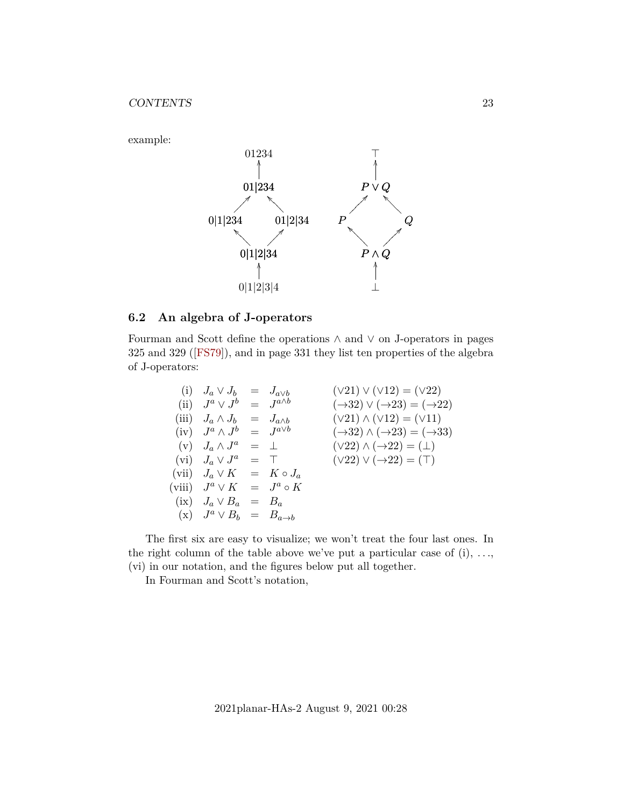

### <span id="page-22-0"></span>**6.2 An algebra of J-operators**

Fourman and Scott define the operations ∧ and ∨ on J-operators in pages 325 and 329([\[FS79\]](#page-31-5)), and in page 331 they list ten properties of the algebra of J-operators:

| (i) $J_a \vee J_b = J_{a \vee b}$          |  | $(\sqrt{21}) \vee (\sqrt{12}) = (\sqrt{22})$                  |
|--------------------------------------------|--|---------------------------------------------------------------|
| (ii) $J^a \vee J^b = J^{a \wedge b}$       |  | $(\rightarrow 32) \vee (\rightarrow 23) = (\rightarrow 22)$   |
| (iii) $J_a \wedge J_b = J_{a \wedge b}$    |  | $(\vee 21) \wedge (\vee 12) = (\vee 11)$                      |
| $(iv)$ $J^a \wedge J^b = J^{a \vee b}$     |  | $(\rightarrow 32) \wedge (\rightarrow 23) = (\rightarrow 33)$ |
| $(v)$ $J_a \wedge J^a = \perp$             |  | $(\vee 22) \wedge (\rightarrow 22) = (\perp)$                 |
| (vi) $J_a \vee J^a = \top$                 |  | $(\vee 22) \vee (\rightarrow 22) = (\top)$                    |
| (vii) $J_a \vee K = K \circ J_a$           |  |                                                               |
| (viii) $J^a \vee K = J^a \circ K$          |  |                                                               |
| $(ix)$ $J_a \vee B_a = B_a$                |  |                                                               |
| $(x)$ $J^a \vee B_b = B_{a \rightarrow b}$ |  |                                                               |
|                                            |  |                                                               |

The first six are easy to visualize; we won't treat the four last ones. In the right column of the table above we've put a particular case of  $(i)$ , ..., (vi) in our notation, and the figures below put all together.

In Fourman and Scott's notation,

example: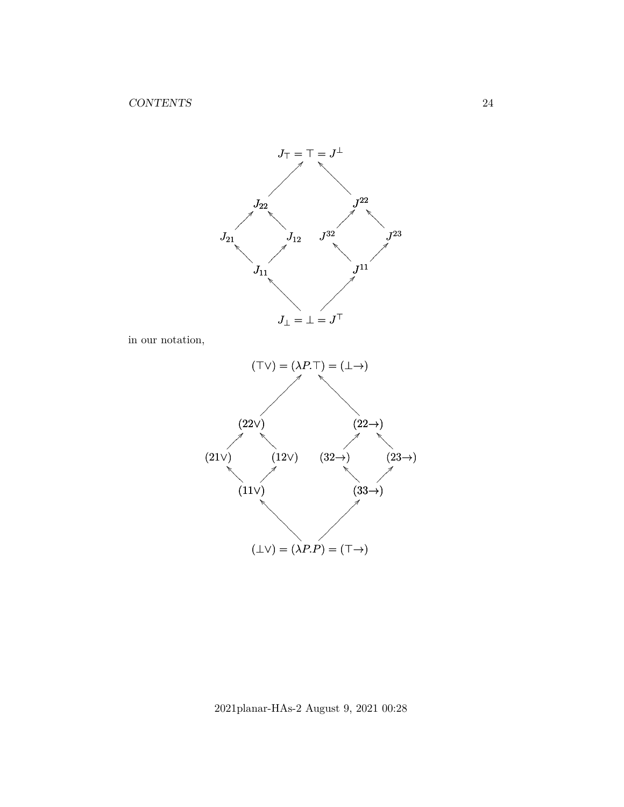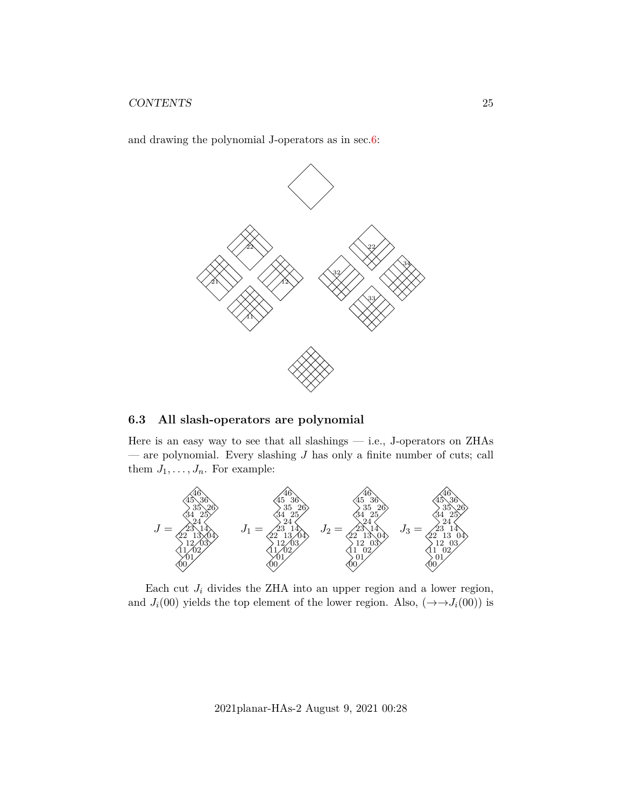and drawing the polynomial J-operators as in sec[.6:](#page-18-0)



### <span id="page-24-0"></span>**6.3 All slash-operators are polynomial**

Here is an easy way to see that all slashings — i.e., J-operators on ZHAs — are polynomial. Every slashing  $J$  has only a finite number of cuts; call them  $J_1, \ldots, J_n$ . For example:



Each cut  $J_i$  divides the ZHA into an upper region and a lower region, and  $J_i(00)$  yields the top element of the lower region. Also,  $(\rightarrow \rightarrow J_i(00))$  is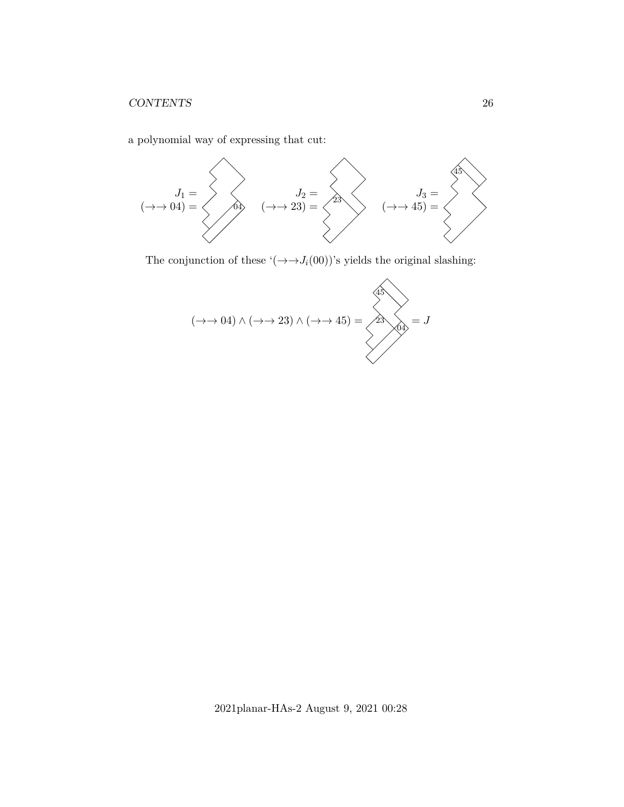a polynomial way of expressing that cut:



The conjunction of these '( $\rightarrow \rightarrow J_i(00)$ )'s yields the original slashing:

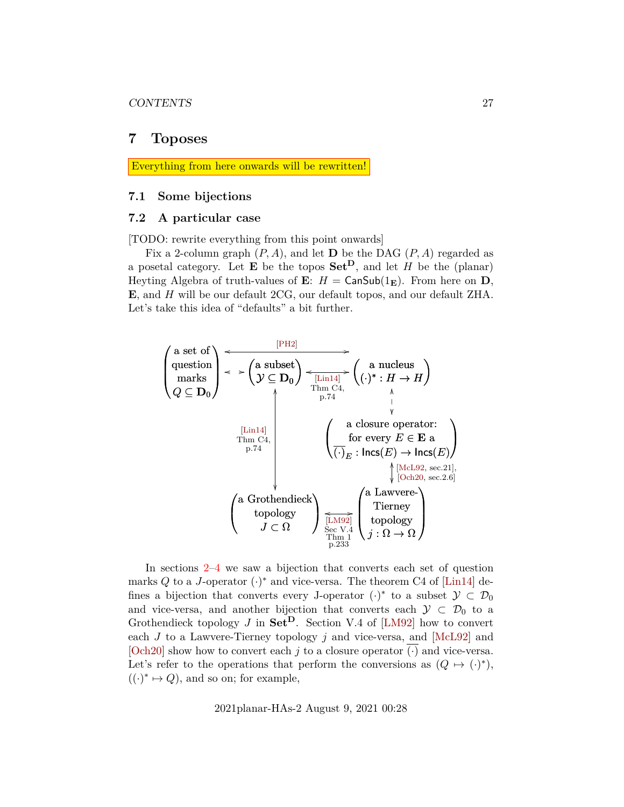### <span id="page-26-0"></span>**7 Toposes**

Everything from here onwards will be rewritten!

### <span id="page-26-1"></span>**7.1 Some bijections**

### <span id="page-26-2"></span>**7.2 A particular case**

[TODO: rewrite everything from this point onwards]

Fix a 2-column graph  $(P, A)$ , and let **D** be the DAG  $(P, A)$  regarded as a posetal category. Let  $\mathbf E$  be the topos  $\mathbf{Set}^{\mathbf{D}}$ , and let  $H$  be the (planar) Heyting Algebra of truth-values of **E**:  $H = \text{CanSub}(1_{\text{E}})$ . From here on **D**, E, and H will be our default 2CG, our default topos, and our default ZHA. Let's take this idea of "defaults" a bit further.



In sections [2](#page-8-0)[–4](#page-12-0) we saw a bijection that converts each set of question marks Q to a J-operator  $(\cdot)^*$  and vice-versa. The theorem C4 of [\[Lin14\]](#page-31-6) defines a bijection that converts every J-operator  $(\cdot)^*$  to a subset  $\mathcal{Y} \subset \mathcal{D}_0$ and vice-versa, and another bijection that converts each  $\mathcal{Y} \subset \mathcal{D}_0$  to a Grothendieck topology J in  $\textbf{Set}^{\textbf{D}}$ . Section V.4 of [\[LM92\]](#page-31-7) how to convert each  $J$  to a Lawvere-Tierney topology  $j$  and vice-versa, and [\[McL92\]](#page-31-8) and [\[Och20\]](#page-31-3) show how to convert each j to a closure operator  $\overline{(\cdot)}$  and vice-versa. Let's refer to the operations that perform the conversions as  $(Q \mapsto (\cdot)^*)$ ,  $((.)^* \mapsto Q)$ , and so on; for example,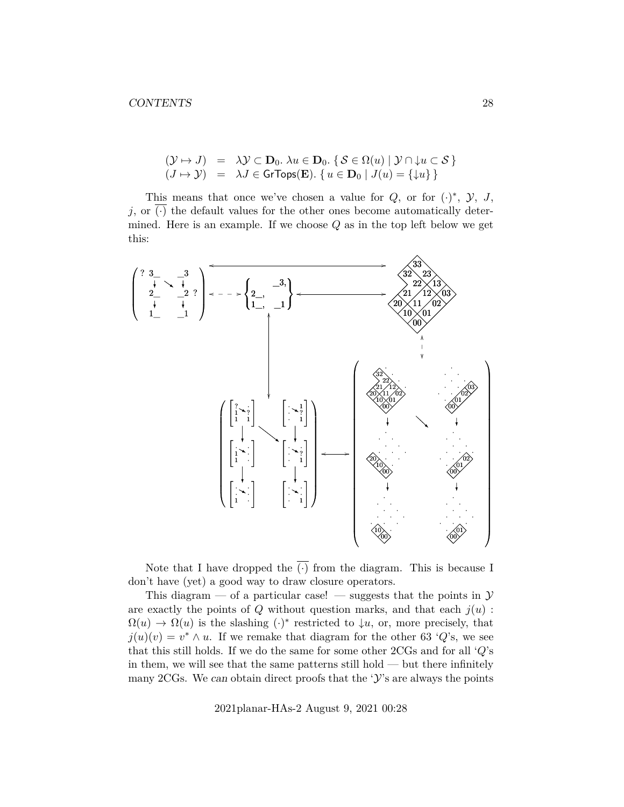$$
\begin{array}{rcl}\n(\mathcal{Y} \mapsto J) & = & \lambda \mathcal{Y} \subset \mathbf{D}_0. \ \lambda u \in \mathbf{D}_0. \ \{ \mathcal{S} \in \Omega(u) \mid \mathcal{Y} \cap \downarrow u \subset \mathcal{S} \} \\
(J \mapsto \mathcal{Y}) & = & \lambda J \in \mathsf{GrTops}(\mathbf{E}). \ \{ u \in \mathbf{D}_0 \mid J(u) = \{\downarrow u\} \}\n\end{array}
$$

This means that once we've chosen a value for  $Q$ , or for  $(·)$ <sup>\*</sup>,  $\mathcal{Y}, J$ ,  $j$ , or  $(\cdot)$  the default values for the other ones become automatically determined. Here is an example. If we choose  $Q$  as in the top left below we get this:



Note that I have dropped the  $\overline{(\cdot)}$  from the diagram. This is because I don't have (yet) a good way to draw closure operators.

This diagram — of a particular case! — suggests that the points in  $\mathcal Y$ are exactly the points of  $Q$  without question marks, and that each  $j(u)$ :  $\Omega(u) \to \Omega(u)$  is the slashing  $(\cdot)^*$  restricted to  $\downarrow u$ , or, more precisely, that  $j(u)(v) = v^* \wedge u$ . If we remake that diagram for the other 63 'Q's, we see that this still holds. If we do the same for some other  $2\text{CGs}$  and for all ' $Q$ 's in them, we will see that the same patterns still hold — but there infinitely many 2CGs. We can obtain direct proofs that the ' $\mathcal{Y}'$ 's are always the points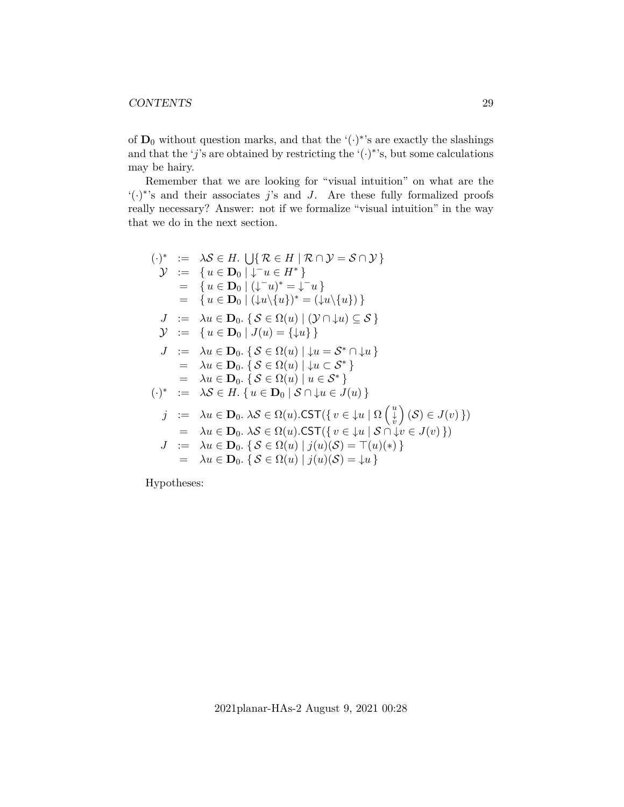of  $\mathbf{D}_0$  without question marks, and that the '( $\cdot$ )<sup>\*</sup>'s are exactly the slashings and that the 'j's are obtained by restricting the ' $(\cdot)$ <sup>\*</sup>'s, but some calculations may be hairy.

Remember that we are looking for "visual intuition" on what are the  $\mathcal{L}(\cdot)^*$ 's and their associates j's and J. Are these fully formalized proofs really necessary? Answer: not if we formalize "visual intuition" in the way that we do in the next section.

$$
(\cdot)^* := \lambda \mathcal{S} \in H. \bigcup \{ \mathcal{R} \in H \mid \mathcal{R} \cap \mathcal{Y} = \mathcal{S} \cap \mathcal{Y} \}
$$
\n
$$
\mathcal{Y} := \{ u \in \mathbf{D}_0 \mid \downarrow \neg u \in H^* \}
$$
\n
$$
= \{ u \in \mathbf{D}_0 \mid (\downarrow \neg u)^* = \downarrow \neg u \}
$$
\n
$$
= \{ u \in \mathbf{D}_0 \mid (\downarrow u) \{ u \} \}^* = (\downarrow u) \{ u \} \}
$$
\n
$$
\mathcal{Y} := \lambda u \in \mathbf{D}_0. \{ \mathcal{S} \in \Omega(u) \mid (\mathcal{Y} \cap \downarrow u) \subseteq \mathcal{S} \}
$$
\n
$$
\mathcal{Y} := \{ u \in \mathbf{D}_0 \mid J(u) = \{ \downarrow u \} \}
$$
\n
$$
\mathcal{J} := \lambda u \in \mathbf{D}_0. \{ \mathcal{S} \in \Omega(u) \mid \downarrow u = \mathcal{S}^* \cap \downarrow u \}
$$
\n
$$
= \lambda u \in \mathbf{D}_0. \{ \mathcal{S} \in \Omega(u) \mid \downarrow u \in \mathcal{S}^* \}
$$
\n
$$
= \lambda u \in \mathbf{D}_0. \{ \mathcal{S} \in \Omega(u) \mid u \in \mathcal{S}^* \}
$$
\n
$$
(\cdot)^* := \lambda \mathcal{S} \in H. \{ u \in \mathbf{D}_0 \mid \mathcal{S} \cap \downarrow u \in J(u) \}
$$
\n
$$
\mathcal{Y} := \lambda u \in \mathbf{D}_0. \lambda \mathcal{S} \in \Omega(u). \text{CST}(\{ v \in \downarrow u \mid \Omega \left( \frac{u}{v} \right) (\mathcal{S}) \in J(v) \})
$$
\n
$$
= \lambda u \in \mathbf{D}_0. \lambda \mathcal{S} \in \Omega(u). \text{CST}(\{ v \in \downarrow u \mid \mathcal{S} \cap \downarrow v \in J(v) \})
$$
\n
$$
\mathcal{Y} := \lambda u \in \mathbf{D}_0. \{ \mathcal{S} \in \Omega(u) \mid J(u) (\mathcal{S}) = \top(u)(
$$

Hypotheses: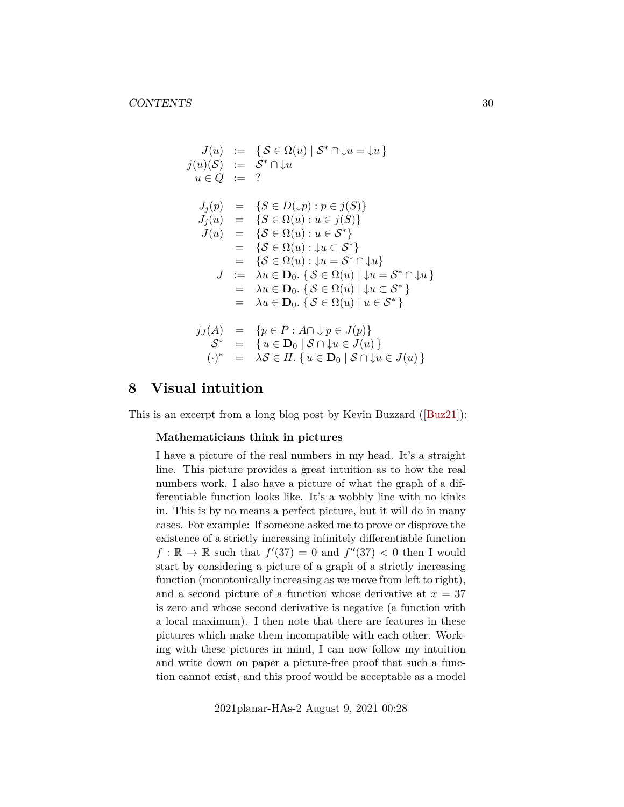$$
J(u) := \{ S \in \Omega(u) | S^* \cap \{u = u\} \}
$$
  
\n
$$
j(u)(S) := S^* \cap \{u\}
$$
  
\n
$$
u \in Q := ?
$$
  
\n
$$
J_j(p) = \{ S \in D(\{p\} : p \in j(S) \}
$$
  
\n
$$
J_j(u) = \{ S \in \Omega(u) : u \in j(S) \}
$$
  
\n
$$
J(u) = \{ S \in \Omega(u) : u \in S^* \}
$$
  
\n
$$
= \{ S \in \Omega(u) : \{u \in S^* \}
$$
  
\n
$$
= \{ S \in \Omega(u) : \{u = S^* \cap \{u\} \}
$$
  
\n
$$
J := \lambda u \in \mathbf{D}_0. \{ S \in \Omega(u) | \{u = S^* \cap \{u\} \}
$$
  
\n
$$
= \lambda u \in \mathbf{D}_0. \{ S \in \Omega(u) | u \in S^* \}
$$
  
\n
$$
= \lambda u \in \mathbf{D}_0. \{ S \in \Omega(u) | u \in S^* \}
$$
  
\n
$$
jJ(A) = \{ p \in P : A \cap \{ p \in J(p) \}
$$
  
\n
$$
S^* = \{ u \in \mathbf{D}_0 | S \cap \{ u \in J(u) \}
$$
  
\n
$$
(\cdot)^* = \lambda S \in H. \{ u \in \mathbf{D}_0 | S \cap \{ u \in J(u) \}
$$

# <span id="page-29-0"></span>**8 Visual intuition**

This is an excerpt from a long blog post by Kevin Buzzard([\[Buz21\]](#page-31-10)):

### **Mathematicians think in pictures**

I have a picture of the real numbers in my head. It's a straight line. This picture provides a great intuition as to how the real numbers work. I also have a picture of what the graph of a differentiable function looks like. It's a wobbly line with no kinks in. This is by no means a perfect picture, but it will do in many cases. For example: If someone asked me to prove or disprove the existence of a strictly increasing infinitely differentiable function  $f : \mathbb{R} \to \mathbb{R}$  such that  $f'(37) = 0$  and  $f''(37) < 0$  then I would start by considering a picture of a graph of a strictly increasing function (monotonically increasing as we move from left to right), and a second picture of a function whose derivative at  $x = 37$ is zero and whose second derivative is negative (a function with a local maximum). I then note that there are features in these pictures which make them incompatible with each other. Working with these pictures in mind, I can now follow my intuition and write down on paper a picture-free proof that such a function cannot exist, and this proof would be acceptable as a model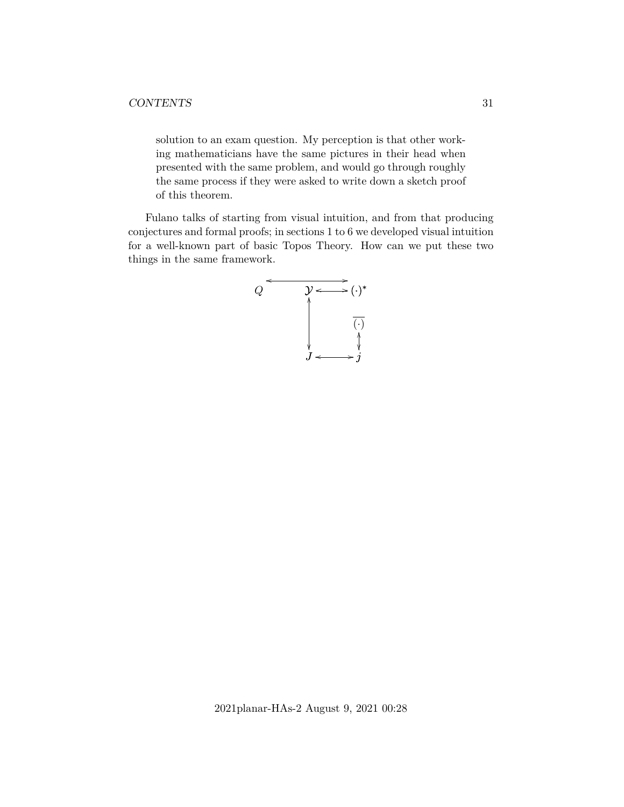solution to an exam question. My perception is that other working mathematicians have the same pictures in their head when presented with the same problem, and would go through roughly the same process if they were asked to write down a sketch proof of this theorem.

Fulano talks of starting from visual intuition, and from that producing conjectures and formal proofs; in sections 1 to 6 we developed visual intuition for a well-known part of basic Topos Theory. How can we put these two things in the same framework.